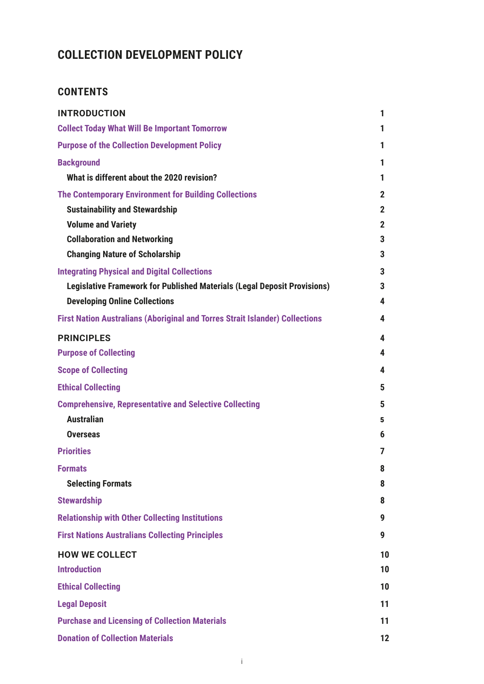# **COLLECTION DEVELOPMENT POLICY**

# **CONTENTS**

| <b>INTRODUCTION</b>                                                                 | 1              |
|-------------------------------------------------------------------------------------|----------------|
| <b>Collect Today What Will Be Important Tomorrow</b>                                | 1              |
| <b>Purpose of the Collection Development Policy</b>                                 | 1              |
| <b>Background</b>                                                                   | 1              |
| What is different about the 2020 revision?                                          | 1              |
| <b>The Contemporary Environment for Building Collections</b>                        | $\mathbf 2$    |
| <b>Sustainability and Stewardship</b>                                               | $\mathbf{2}$   |
| <b>Volume and Variety</b>                                                           | $\overline{2}$ |
| <b>Collaboration and Networking</b>                                                 | 3              |
| <b>Changing Nature of Scholarship</b>                                               | 3              |
| <b>Integrating Physical and Digital Collections</b>                                 | 3              |
| <b>Legislative Framework for Published Materials (Legal Deposit Provisions)</b>     | 3              |
| <b>Developing Online Collections</b>                                                | 4              |
| <b>First Nation Australians (Aboriginal and Torres Strait Islander) Collections</b> | 4              |
| <b>PRINCIPLES</b>                                                                   | 4              |
| <b>Purpose of Collecting</b>                                                        | 4              |
| <b>Scope of Collecting</b>                                                          | 4              |
| <b>Ethical Collecting</b>                                                           | 5              |
| <b>Comprehensive, Representative and Selective Collecting</b>                       | 5              |
| <b>Australian</b>                                                                   | 5              |
| <b>Overseas</b>                                                                     | 6              |
| <b>Priorities</b>                                                                   | 7              |
| <b>Formats</b>                                                                      | 8              |
| <b>Selecting Formats</b>                                                            | 8              |
| <b>Stewardship</b>                                                                  | 8              |
| <b>Relationship with Other Collecting Institutions</b>                              | 9              |
| <b>First Nations Australians Collecting Principles</b>                              | 9              |
| <b>HOW WE COLLECT</b>                                                               | 10             |
| <b>Introduction</b>                                                                 | 10             |
| <b>Ethical Collecting</b>                                                           | 10             |
| <b>Legal Deposit</b>                                                                | 11             |
| <b>Purchase and Licensing of Collection Materials</b>                               | 11             |
| <b>Donation of Collection Materials</b>                                             | 12             |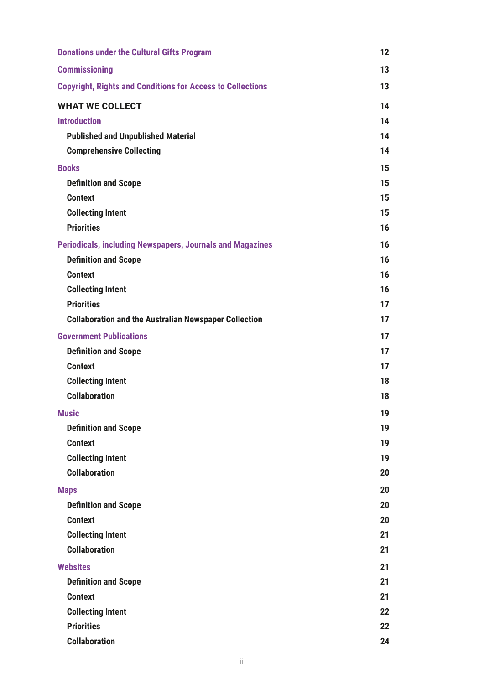| <b>Donations under the Cultural Gifts Program</b>                 | 12 |
|-------------------------------------------------------------------|----|
| <b>Commissioning</b>                                              | 13 |
| <b>Copyright, Rights and Conditions for Access to Collections</b> | 13 |
| <b>WHAT WE COLLECT</b>                                            | 14 |
| <b>Introduction</b>                                               | 14 |
| <b>Published and Unpublished Material</b>                         | 14 |
| <b>Comprehensive Collecting</b>                                   | 14 |
| <b>Books</b>                                                      | 15 |
| <b>Definition and Scope</b>                                       | 15 |
| <b>Context</b>                                                    | 15 |
| <b>Collecting Intent</b>                                          | 15 |
| <b>Priorities</b>                                                 | 16 |
| <b>Periodicals, including Newspapers, Journals and Magazines</b>  | 16 |
| <b>Definition and Scope</b>                                       | 16 |
| <b>Context</b>                                                    | 16 |
| <b>Collecting Intent</b>                                          | 16 |
| <b>Priorities</b>                                                 | 17 |
| <b>Collaboration and the Australian Newspaper Collection</b>      | 17 |
| <b>Government Publications</b>                                    | 17 |
| <b>Definition and Scope</b>                                       | 17 |
| <b>Context</b>                                                    | 17 |
| <b>Collecting Intent</b>                                          | 18 |
| <b>Collaboration</b>                                              | 18 |
| <b>Music</b>                                                      | 19 |
| <b>Definition and Scope</b>                                       | 19 |
| <b>Context</b>                                                    | 19 |
| <b>Collecting Intent</b>                                          | 19 |
| <b>Collaboration</b>                                              | 20 |
| <b>Maps</b>                                                       | 20 |
| <b>Definition and Scope</b>                                       | 20 |
| <b>Context</b>                                                    | 20 |
| <b>Collecting Intent</b>                                          | 21 |
| <b>Collaboration</b>                                              | 21 |
| <b>Websites</b>                                                   | 21 |
| <b>Definition and Scope</b>                                       | 21 |
| <b>Context</b>                                                    | 21 |
| <b>Collecting Intent</b>                                          | 22 |
| <b>Priorities</b>                                                 | 22 |
| <b>Collaboration</b>                                              | 24 |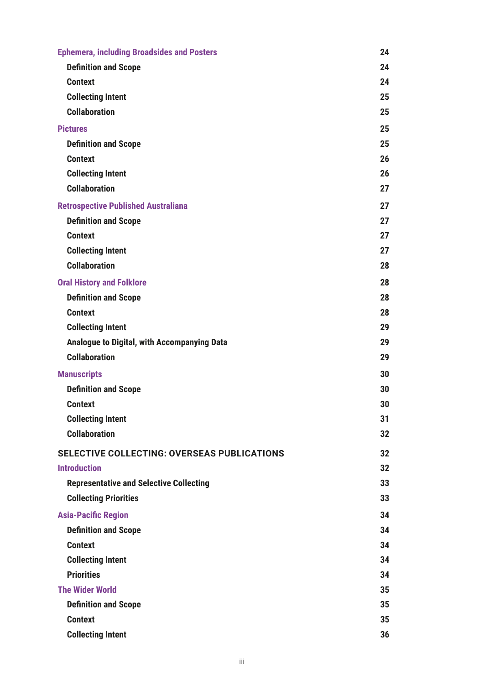| <b>Ephemera, including Broadsides and Posters</b>  | 24 |
|----------------------------------------------------|----|
| <b>Definition and Scope</b>                        | 24 |
| <b>Context</b>                                     | 24 |
| <b>Collecting Intent</b>                           | 25 |
| <b>Collaboration</b>                               | 25 |
| <b>Pictures</b>                                    | 25 |
| <b>Definition and Scope</b>                        | 25 |
| <b>Context</b>                                     | 26 |
| <b>Collecting Intent</b>                           | 26 |
| <b>Collaboration</b>                               | 27 |
| <b>Retrospective Published Australiana</b>         | 27 |
| <b>Definition and Scope</b>                        | 27 |
| <b>Context</b>                                     | 27 |
| <b>Collecting Intent</b>                           | 27 |
| <b>Collaboration</b>                               | 28 |
| <b>Oral History and Folklore</b>                   | 28 |
| <b>Definition and Scope</b>                        | 28 |
| <b>Context</b>                                     | 28 |
| <b>Collecting Intent</b>                           | 29 |
| Analogue to Digital, with Accompanying Data        | 29 |
| <b>Collaboration</b>                               | 29 |
| <b>Manuscripts</b>                                 | 30 |
| <b>Definition and Scope</b>                        | 30 |
| <b>Context</b>                                     | 30 |
| <b>Collecting Intent</b>                           | 31 |
| <b>Collaboration</b>                               | 32 |
| <b>SELECTIVE COLLECTING: OVERSEAS PUBLICATIONS</b> | 32 |
| <b>Introduction</b>                                | 32 |
| <b>Representative and Selective Collecting</b>     | 33 |
| <b>Collecting Priorities</b>                       | 33 |
| <b>Asia-Pacific Region</b>                         | 34 |
| <b>Definition and Scope</b>                        | 34 |
| <b>Context</b>                                     | 34 |
| <b>Collecting Intent</b>                           | 34 |
| <b>Priorities</b>                                  | 34 |
| <b>The Wider World</b>                             | 35 |
| <b>Definition and Scope</b>                        | 35 |
| <b>Context</b>                                     | 35 |
| <b>Collecting Intent</b>                           | 36 |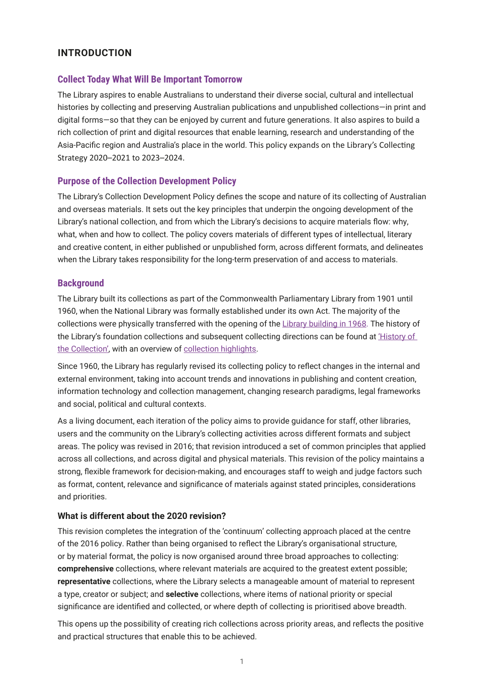## <span id="page-3-0"></span>**INTRODUCTION**

### **Collect Today What Will Be Important Tomorrow**

The Library aspires to enable Australians to understand their diverse social, cultural and intellectual histories by collecting and preserving Australian publications and unpublished collections—in print and digital forms—so that they can be enjoyed by current and future generations. It also aspires to build a rich collection of print and digital resources that enable learning, research and understanding of the Asia-Pacific region and Australia's place in the world. This policy expands on the Library's Collecting Strategy 2020–2021 to 2023–2024.

### **Purpose of the Collection Development Policy**

The Library's Collection Development Policy defines the scope and nature of its collecting of Australian and overseas materials. It sets out the key principles that underpin the ongoing development of the Library's national collection, and from which the Library's decisions to acquire materials flow: why, what, when and how to collect. The policy covers materials of different types of intellectual, literary and creative content, in either published or unpublished form, across different formats, and delineates when the Library takes responsibility for the long-term preservation of and access to materials.

### **Background**

The Library built its collections as part of the Commonwealth Parliamentary Library from 1901 until 1960, when the National Library was formally established under its own Act. The majority of the collections were physically transferred with the opening of the [Library building in 1968.](https://www.nla.gov.au/history-of-the-library ) The history of the Library's foundation collections and subsequent collecting directions can be found at ['History of](https://www.nla.gov.au/history-of-the-collection)  [the Collection'](https://www.nla.gov.au/history-of-the-collection), with an overview of [collection highlights](https://www.nla.gov.au/collections).

Since 1960, the Library has regularly revised its collecting policy to reflect changes in the internal and external environment, taking into account trends and innovations in publishing and content creation, information technology and collection management, changing research paradigms, legal frameworks and social, political and cultural contexts.

As a living document, each iteration of the policy aims to provide guidance for staff, other libraries, users and the community on the Library's collecting activities across different formats and subject areas. The policy was revised in 2016; that revision introduced a set of common principles that applied across all collections, and across digital and physical materials. This revision of the policy maintains a strong, flexible framework for decision-making, and encourages staff to weigh and judge factors such as format, content, relevance and significance of materials against stated principles, considerations and priorities.

### **What is different about the 2020 revision?**

This revision completes the integration of the 'continuum' collecting approach placed at the centre of the 2016 policy. Rather than being organised to reflect the Library's organisational structure, or by material format, the policy is now organised around three broad approaches to collecting: **comprehensive** collections, where relevant materials are acquired to the greatest extent possible; **representative** collections, where the Library selects a manageable amount of material to represent a type, creator or subject; and **selective** collections, where items of national priority or special significance are identified and collected, or where depth of collecting is prioritised above breadth.

This opens up the possibility of creating rich collections across priority areas, and reflects the positive and practical structures that enable this to be achieved.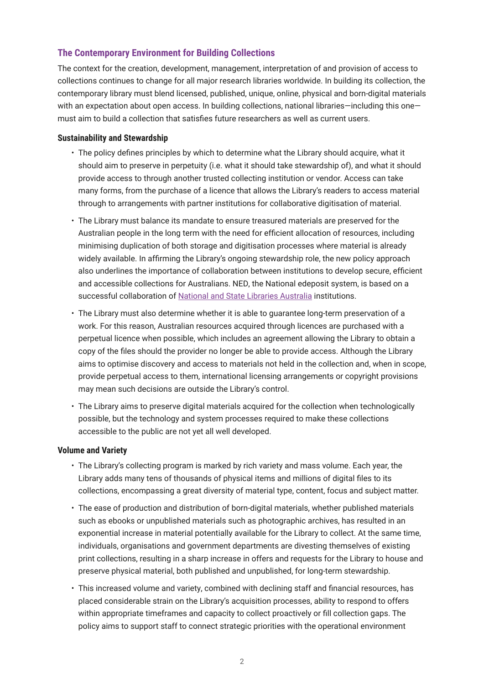### <span id="page-4-0"></span>**The Contemporary Environment for Building Collections**

The context for the creation, development, management, interpretation of and provision of access to collections continues to change for all major research libraries worldwide. In building its collection, the contemporary library must blend licensed, published, unique, online, physical and born-digital materials with an expectation about open access. In building collections, national libraries—including this one must aim to build a collection that satisfies future researchers as well as current users.

#### **Sustainability and Stewardship**

- The policy defines principles by which to determine what the Library should acquire, what it should aim to preserve in perpetuity (i.e. what it should take stewardship of), and what it should provide access to through another trusted collecting institution or vendor. Access can take many forms, from the purchase of a licence that allows the Library's readers to access material through to arrangements with partner institutions for collaborative digitisation of material.
- The Library must balance its mandate to ensure treasured materials are preserved for the Australian people in the long term with the need for efficient allocation of resources, including minimising duplication of both storage and digitisation processes where material is already widely available. In affirming the Library's ongoing stewardship role, the new policy approach also underlines the importance of collaboration between institutions to develop secure, efficient and accessible collections for Australians. NED, the National edeposit system, is based on a successful collaboration of [National and State Libraries Australia](https://www.nsla.org.au/) institutions.
- The Library must also determine whether it is able to guarantee long-term preservation of a work. For this reason, Australian resources acquired through licences are purchased with a perpetual licence when possible, which includes an agreement allowing the Library to obtain a copy of the files should the provider no longer be able to provide access. Although the Library aims to optimise discovery and access to materials not held in the collection and, when in scope, provide perpetual access to them, international licensing arrangements or copyright provisions may mean such decisions are outside the Library's control.
- The Library aims to preserve digital materials acquired for the collection when technologically possible, but the technology and system processes required to make these collections accessible to the public are not yet all well developed.

#### **Volume and Variety**

- The Library's collecting program is marked by rich variety and mass volume. Each year, the Library adds many tens of thousands of physical items and millions of digital files to its collections, encompassing a great diversity of material type, content, focus and subject matter.
- The ease of production and distribution of born-digital materials, whether published materials such as ebooks or unpublished materials such as photographic archives, has resulted in an exponential increase in material potentially available for the Library to collect. At the same time, individuals, organisations and government departments are divesting themselves of existing print collections, resulting in a sharp increase in offers and requests for the Library to house and preserve physical material, both published and unpublished, for long-term stewardship.
- This increased volume and variety, combined with declining staff and financial resources, has placed considerable strain on the Library's acquisition processes, ability to respond to offers within appropriate timeframes and capacity to collect proactively or fill collection gaps. The policy aims to support staff to connect strategic priorities with the operational environment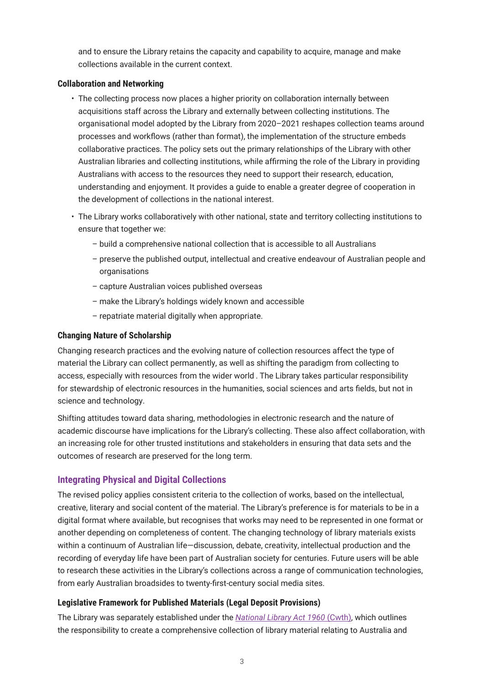<span id="page-5-0"></span>and to ensure the Library retains the capacity and capability to acquire, manage and make collections available in the current context.

#### **Collaboration and Networking**

- The collecting process now places a higher priority on collaboration internally between acquisitions staff across the Library and externally between collecting institutions. The organisational model adopted by the Library from 2020–2021 reshapes collection teams around processes and workflows (rather than format), the implementation of the structure embeds collaborative practices. The policy sets out the primary relationships of the Library with other Australian libraries and collecting institutions, while affirming the role of the Library in providing Australians with access to the resources they need to support their research, education, understanding and enjoyment. It provides a guide to enable a greater degree of cooperation in the development of collections in the national interest.
- The Library works collaboratively with other national, state and territory collecting institutions to ensure that together we:
	- build a comprehensive national collection that is accessible to all Australians
	- preserve the published output, intellectual and creative endeavour of Australian people and organisations
	- capture Australian voices published overseas
	- make the Library's holdings widely known and accessible
	- repatriate material digitally when appropriate.

#### **Changing Nature of Scholarship**

Changing research practices and the evolving nature of collection resources affect the type of material the Library can collect permanently, as well as shifting the paradigm from collecting to access, especially with resources from the wider world . The Library takes particular responsibility for stewardship of electronic resources in the humanities, social sciences and arts fields, but not in science and technology.

Shifting attitudes toward data sharing, methodologies in electronic research and the nature of academic discourse have implications for the Library's collecting. These also affect collaboration, with an increasing role for other trusted institutions and stakeholders in ensuring that data sets and the outcomes of research are preserved for the long term.

### **Integrating Physical and Digital Collections**

The revised policy applies consistent criteria to the collection of works, based on the intellectual, creative, literary and social content of the material. The Library's preference is for materials to be in a digital format where available, but recognises that works may need to be represented in one format or another depending on completeness of content. The changing technology of library materials exists within a continuum of Australian life—discussion, debate, creativity, intellectual production and the recording of everyday life have been part of Australian society for centuries. Future users will be able to research these activities in the Library's collections across a range of communication technologies, from early Australian broadsides to twenty-first-century social media sites.

### **Legislative Framework for Published Materials (Legal Deposit Provisions)**

The Library was separately established under the *[National Library Act 1960](http://www.austlii.edu.au/au/legis/cth/consol_act/nla1960177/)* (Cwth), which outlines the responsibility to create a comprehensive collection of library material relating to Australia and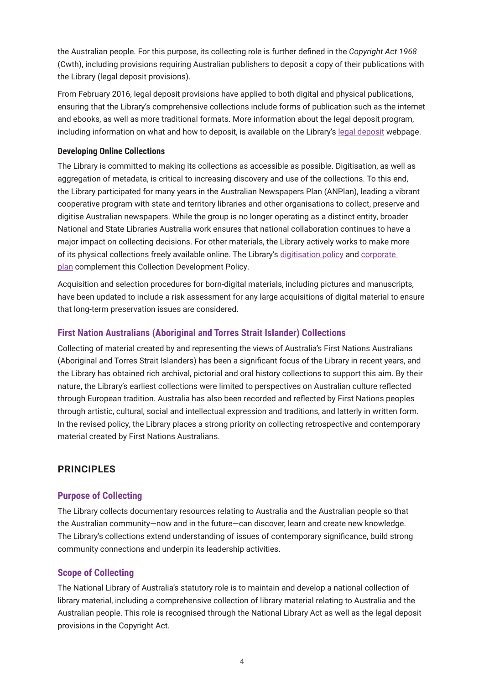<span id="page-6-0"></span>the Australian people. For this purpose, its collecting role is further defined in the *Copyright Act 1968*  (Cwth), including provisions requiring Australian publishers to deposit a copy of their publications with the Library (legal deposit provisions).

From February 2016, legal deposit provisions have applied to both digital and physical publications, ensuring that the Library's comprehensive collections include forms of publication such as the internet and ebooks, as well as more traditional formats. More information about the legal deposit program, including information on what and how to deposit, is available on the Library's [legal deposit](https://www.nla.gov.au/legal-deposit) webpage.

#### **Developing Online Collections**

The Library is committed to making its collections as accessible as possible. Digitisation, as well as aggregation of metadata, is critical to increasing discovery and use of the collections. To this end, the Library participated for many years in the Australian Newspapers Plan (ANPlan), leading a vibrant cooperative program with state and territory libraries and other organisations to collect, preserve and digitise Australian newspapers. While the group is no longer operating as a distinct entity, broader National and State Libraries Australia work ensures that national collaboration continues to have a major impact on collecting decisions. For other materials, the Library actively works to make more of its physical collections freely available online. The Library's [digitisation policy](https://www.nla.gov.au/policy-and-planning/collection-digitisation-policy) and [corporate](https://www.nla.gov.au/corporate-documents/corporate-plans)  [plan](https://www.nla.gov.au/corporate-documents/corporate-plans) complement this Collection Development Policy.

Acquisition and selection procedures for born-digital materials, including pictures and manuscripts, have been updated to include a risk assessment for any large acquisitions of digital material to ensure that long-term preservation issues are considered.

### **First Nation Australians (Aboriginal and Torres Strait Islander) Collections**

Collecting of material created by and representing the views of Australia's First Nations Australians (Aboriginal and Torres Strait Islanders) has been a significant focus of the Library in recent years, and the Library has obtained rich archival, pictorial and oral history collections to support this aim. By their nature, the Library's earliest collections were limited to perspectives on Australian culture reflected through European tradition. Australia has also been recorded and reflected by First Nations peoples through artistic, cultural, social and intellectual expression and traditions, and latterly in written form. In the revised policy, the Library places a strong priority on collecting retrospective and contemporary material created by First Nations Australians.

### **PRINCIPLES**

### **Purpose of Collecting**

The Library collects documentary resources relating to Australia and the Australian people so that the Australian community—now and in the future—can discover, learn and create new knowledge. The Library's collections extend understanding of issues of contemporary significance, build strong community connections and underpin its leadership activities.

### **Scope of Collecting**

The National Library of Australia's statutory role is to maintain and develop a national collection of library material, including a comprehensive collection of library material relating to Australia and the Australian people. This role is recognised through the National Library Act as well as the legal deposit provisions in the Copyright Act.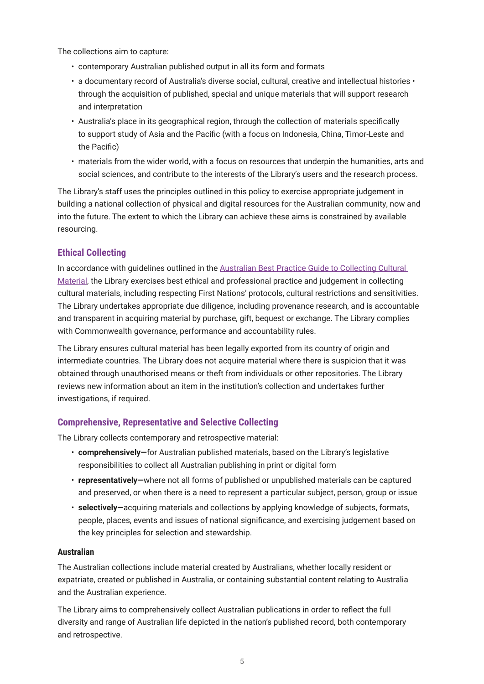<span id="page-7-0"></span>The collections aim to capture:

- contemporary Australian published output in all its form and formats
- a documentary record of Australia's diverse social, cultural, creative and intellectual histories through the acquisition of published, special and unique materials that will support research and interpretation
- Australia's place in its geographical region, through the collection of materials specifically to support study of Asia and the Pacific (with a focus on Indonesia, China, Timor-Leste and the Pacific)
- materials from the wider world, with a focus on resources that underpin the humanities, arts and social sciences, and contribute to the interests of the Library's users and the research process.

The Library's staff uses the principles outlined in this policy to exercise appropriate judgement in building a national collection of physical and digital resources for the Australian community, now and into the future. The extent to which the Library can achieve these aims is constrained by available resourcing.

### **Ethical Collecting**

In accordance with guidelines outlined in the [Australian Best Practice Guide to Collecting Cultural](https://www.arts.gov.au/publications/australian-best-practice-guide-collecting-cultural-material)  [Material](https://www.arts.gov.au/publications/australian-best-practice-guide-collecting-cultural-material), the Library exercises best ethical and professional practice and judgement in collecting cultural materials, including respecting First Nations' protocols, cultural restrictions and sensitivities. The Library undertakes appropriate due diligence, including provenance research, and is accountable and transparent in acquiring material by purchase, gift, bequest or exchange. The Library complies with Commonwealth governance, performance and accountability rules.

The Library ensures cultural material has been legally exported from its country of origin and intermediate countries. The Library does not acquire material where there is suspicion that it was obtained through unauthorised means or theft from individuals or other repositories. The Library reviews new information about an item in the institution's collection and undertakes further investigations, if required.

### **Comprehensive, Representative and Selective Collecting**

The Library collects contemporary and retrospective material:

- **comprehensively—**for Australian published materials, based on the Library's legislative responsibilities to collect all Australian publishing in print or digital form
- **representatively—**where not all forms of published or unpublished materials can be captured and preserved, or when there is a need to represent a particular subject, person, group or issue
- **selectively—**acquiring materials and collections by applying knowledge of subjects, formats, people, places, events and issues of national significance, and exercising judgement based on the key principles for selection and stewardship.

### **Australian**

The Australian collections include material created by Australians, whether locally resident or expatriate, created or published in Australia, or containing substantial content relating to Australia and the Australian experience.

The Library aims to comprehensively collect Australian publications in order to reflect the full diversity and range of Australian life depicted in the nation's published record, both contemporary and retrospective.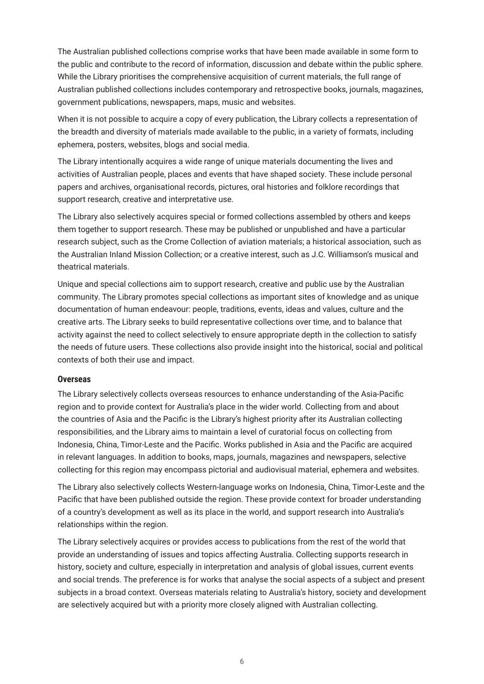<span id="page-8-0"></span>The Australian published collections comprise works that have been made available in some form to the public and contribute to the record of information, discussion and debate within the public sphere. While the Library prioritises the comprehensive acquisition of current materials, the full range of Australian published collections includes contemporary and retrospective books, journals, magazines, government publications, newspapers, maps, music and websites.

When it is not possible to acquire a copy of every publication, the Library collects a representation of the breadth and diversity of materials made available to the public, in a variety of formats, including ephemera, posters, websites, blogs and social media.

The Library intentionally acquires a wide range of unique materials documenting the lives and activities of Australian people, places and events that have shaped society. These include personal papers and archives, organisational records, pictures, oral histories and folklore recordings that support research, creative and interpretative use.

The Library also selectively acquires special or formed collections assembled by others and keeps them together to support research. These may be published or unpublished and have a particular research subject, such as the Crome Collection of aviation materials; a historical association, such as the Australian Inland Mission Collection; or a creative interest, such as J.C. Williamson's musical and theatrical materials.

Unique and special collections aim to support research, creative and public use by the Australian community. The Library promotes special collections as important sites of knowledge and as unique documentation of human endeavour: people, traditions, events, ideas and values, culture and the creative arts. The Library seeks to build representative collections over time, and to balance that activity against the need to collect selectively to ensure appropriate depth in the collection to satisfy the needs of future users. These collections also provide insight into the historical, social and political contexts of both their use and impact.

#### **Overseas**

The Library selectively collects overseas resources to enhance understanding of the Asia-Pacific region and to provide context for Australia's place in the wider world. Collecting from and about the countries of Asia and the Pacific is the Library's highest priority after its Australian collecting responsibilities, and the Library aims to maintain a level of curatorial focus on collecting from Indonesia, China, Timor-Leste and the Pacific. Works published in Asia and the Pacific are acquired in relevant languages. In addition to books, maps, journals, magazines and newspapers, selective collecting for this region may encompass pictorial and audiovisual material, ephemera and websites.

The Library also selectively collects Western-language works on Indonesia, China, Timor-Leste and the Pacific that have been published outside the region. These provide context for broader understanding of a country's development as well as its place in the world, and support research into Australia's relationships within the region.

The Library selectively acquires or provides access to publications from the rest of the world that provide an understanding of issues and topics affecting Australia. Collecting supports research in history, society and culture, especially in interpretation and analysis of global issues, current events and social trends. The preference is for works that analyse the social aspects of a subject and present subjects in a broad context. Overseas materials relating to Australia's history, society and development are selectively acquired but with a priority more closely aligned with Australian collecting.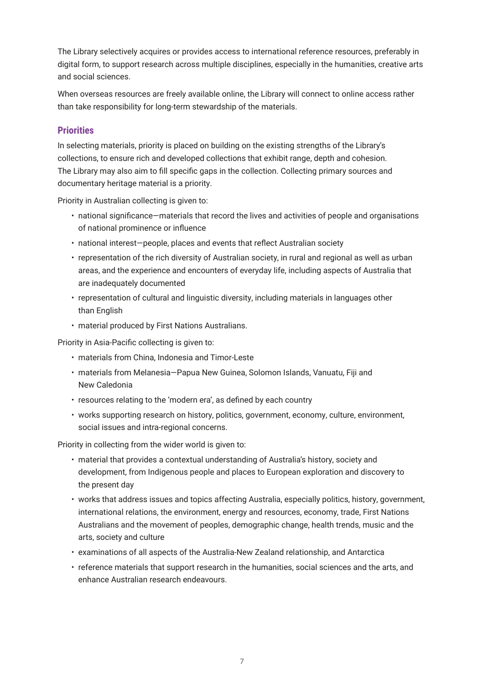<span id="page-9-0"></span>The Library selectively acquires or provides access to international reference resources, preferably in digital form, to support research across multiple disciplines, especially in the humanities, creative arts and social sciences.

When overseas resources are freely available online, the Library will connect to online access rather than take responsibility for long-term stewardship of the materials.

### **Priorities**

In selecting materials, priority is placed on building on the existing strengths of the Library's collections, to ensure rich and developed collections that exhibit range, depth and cohesion. The Library may also aim to fill specific gaps in the collection. Collecting primary sources and documentary heritage material is a priority.

Priority in Australian collecting is given to:

- national significance—materials that record the lives and activities of people and organisations of national prominence or influence
- national interest—people, places and events that reflect Australian society
- representation of the rich diversity of Australian society, in rural and regional as well as urban areas, and the experience and encounters of everyday life, including aspects of Australia that are inadequately documented
- representation of cultural and linguistic diversity, including materials in languages other than English
- material produced by First Nations Australians.

Priority in Asia-Pacific collecting is given to:

- materials from China, Indonesia and Timor-Leste
- materials from Melanesia—Papua New Guinea, Solomon Islands, Vanuatu, Fiji and New Caledonia
- resources relating to the 'modern era', as defined by each country
- works supporting research on history, politics, government, economy, culture, environment, social issues and intra-regional concerns.

Priority in collecting from the wider world is given to:

- material that provides a contextual understanding of Australia's history, society and development, from Indigenous people and places to European exploration and discovery to the present day
- works that address issues and topics affecting Australia, especially politics, history, government, international relations, the environment, energy and resources, economy, trade, First Nations Australians and the movement of peoples, demographic change, health trends, music and the arts, society and culture
- examinations of all aspects of the Australia-New Zealand relationship, and Antarctica
- reference materials that support research in the humanities, social sciences and the arts, and enhance Australian research endeavours.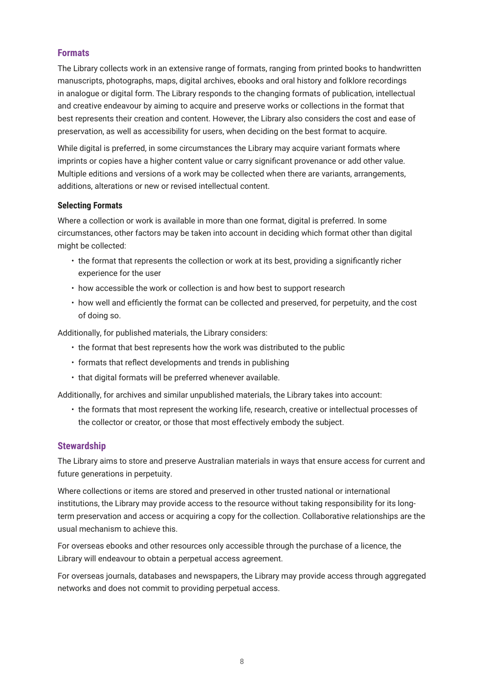### <span id="page-10-0"></span>**Formats**

The Library collects work in an extensive range of formats, ranging from printed books to handwritten manuscripts, photographs, maps, digital archives, ebooks and oral history and folklore recordings in analogue or digital form. The Library responds to the changing formats of publication, intellectual and creative endeavour by aiming to acquire and preserve works or collections in the format that best represents their creation and content. However, the Library also considers the cost and ease of preservation, as well as accessibility for users, when deciding on the best format to acquire.

While digital is preferred, in some circumstances the Library may acquire variant formats where imprints or copies have a higher content value or carry significant provenance or add other value. Multiple editions and versions of a work may be collected when there are variants, arrangements, additions, alterations or new or revised intellectual content.

### **Selecting Formats**

Where a collection or work is available in more than one format, digital is preferred. In some circumstances, other factors may be taken into account in deciding which format other than digital might be collected:

- the format that represents the collection or work at its best, providing a significantly richer experience for the user
- how accessible the work or collection is and how best to support research
- how well and efficiently the format can be collected and preserved, for perpetuity, and the cost of doing so.

Additionally, for published materials, the Library considers:

- the format that best represents how the work was distributed to the public
- formats that reflect developments and trends in publishing
- that digital formats will be preferred whenever available.

Additionally, for archives and similar unpublished materials, the Library takes into account:

• the formats that most represent the working life, research, creative or intellectual processes of the collector or creator, or those that most effectively embody the subject.

### **Stewardship**

The Library aims to store and preserve Australian materials in ways that ensure access for current and future generations in perpetuity.

Where collections or items are stored and preserved in other trusted national or international institutions, the Library may provide access to the resource without taking responsibility for its longterm preservation and access or acquiring a copy for the collection. Collaborative relationships are the usual mechanism to achieve this.

For overseas ebooks and other resources only accessible through the purchase of a licence, the Library will endeavour to obtain a perpetual access agreement.

For overseas journals, databases and newspapers, the Library may provide access through aggregated networks and does not commit to providing perpetual access.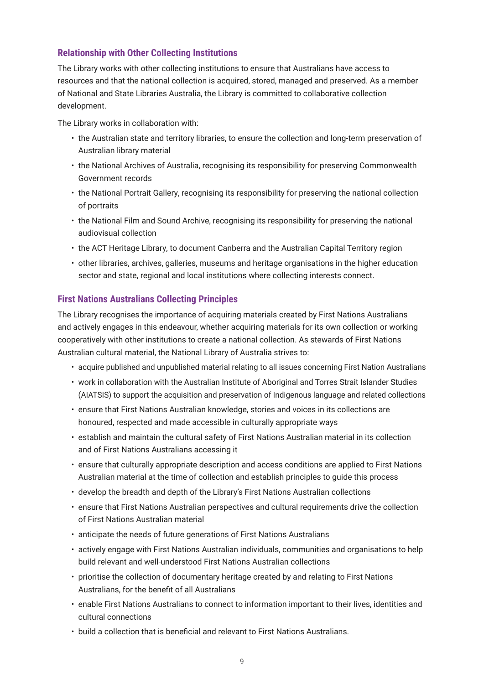### <span id="page-11-0"></span>**Relationship with Other Collecting Institutions**

The Library works with other collecting institutions to ensure that Australians have access to resources and that the national collection is acquired, stored, managed and preserved. As a member of National and State Libraries Australia, the Library is committed to collaborative collection development.

The Library works in collaboration with:

- the Australian state and territory libraries, to ensure the collection and long-term preservation of Australian library material
- the National Archives of Australia, recognising its responsibility for preserving Commonwealth Government records
- the National Portrait Gallery, recognising its responsibility for preserving the national collection of portraits
- the National Film and Sound Archive, recognising its responsibility for preserving the national audiovisual collection
- the ACT Heritage Library, to document Canberra and the Australian Capital Territory region
- other libraries, archives, galleries, museums and heritage organisations in the higher education sector and state, regional and local institutions where collecting interests connect.

### **First Nations Australians Collecting Principles**

The Library recognises the importance of acquiring materials created by First Nations Australians and actively engages in this endeavour, whether acquiring materials for its own collection or working cooperatively with other institutions to create a national collection. As stewards of First Nations Australian cultural material, the National Library of Australia strives to:

- acquire published and unpublished material relating to all issues concerning First Nation Australians
- work in collaboration with the Australian Institute of Aboriginal and Torres Strait Islander Studies (AIATSIS) to support the acquisition and preservation of Indigenous language and related collections
- ensure that First Nations Australian knowledge, stories and voices in its collections are honoured, respected and made accessible in culturally appropriate ways
- establish and maintain the cultural safety of First Nations Australian material in its collection and of First Nations Australians accessing it
- ensure that culturally appropriate description and access conditions are applied to First Nations Australian material at the time of collection and establish principles to guide this process
- develop the breadth and depth of the Library's First Nations Australian collections
- ensure that First Nations Australian perspectives and cultural requirements drive the collection of First Nations Australian material
- anticipate the needs of future generations of First Nations Australians
- actively engage with First Nations Australian individuals, communities and organisations to help build relevant and well-understood First Nations Australian collections
- prioritise the collection of documentary heritage created by and relating to First Nations Australians, for the benefit of all Australians
- enable First Nations Australians to connect to information important to their lives, identities and cultural connections
- build a collection that is beneficial and relevant to First Nations Australians.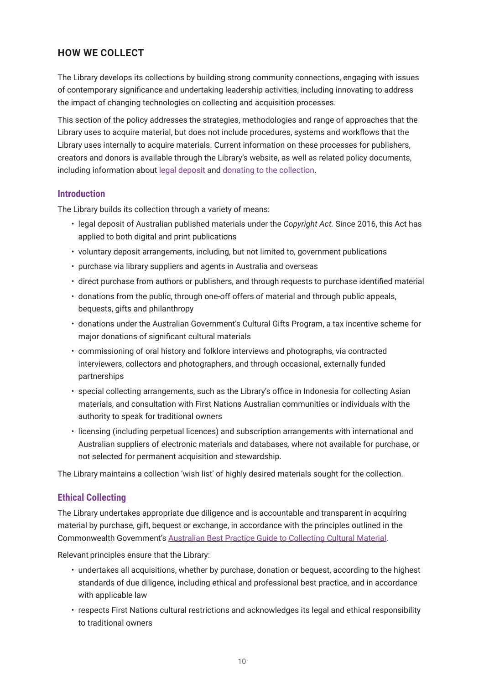## <span id="page-12-0"></span>**HOW WE COLLECT**

The Library develops its collections by building strong community connections, engaging with issues of contemporary significance and undertaking leadership activities, including innovating to address the impact of changing technologies on collecting and acquisition processes.

This section of the policy addresses the strategies, methodologies and range of approaches that the Library uses to acquire material, but does not include procedures, systems and workflows that the Library uses internally to acquire materials. Current information on these processes for publishers, creators and donors is available through the Library's website, as well as related policy documents, including information about [legal deposit](https://www.nla.gov.au/legal-deposit) and [donating to the collection.](https://www.nla.gov.au/support-us/donate-collection-material)

### **Introduction**

The Library builds its collection through a variety of means:

- legal deposit of Australian published materials under the *Copyright Act.* Since 2016, this Act has applied to both digital and print publications
- voluntary deposit arrangements, including, but not limited to, government publications
- purchase via library suppliers and agents in Australia and overseas
- direct purchase from authors or publishers, and through requests to purchase identified material
- donations from the public, through one-off offers of material and through public appeals, bequests, gifts and philanthropy
- donations under the Australian Government's Cultural Gifts Program, a tax incentive scheme for major donations of significant cultural materials
- commissioning of oral history and folklore interviews and photographs, via contracted interviewers, collectors and photographers, and through occasional, externally funded partnerships
- special collecting arrangements, such as the Library's office in Indonesia for collecting Asian materials, and consultation with First Nations Australian communities or individuals with the authority to speak for traditional owners
- licensing (including perpetual licences) and subscription arrangements with international and Australian suppliers of electronic materials and databases*,* where not available for purchase, or not selected for permanent acquisition and stewardship.

The Library maintains a collection 'wish list' of highly desired materials sought for the collection.

### **Ethical Collecting**

The Library undertakes appropriate due diligence and is accountable and transparent in acquiring material by purchase, gift, bequest or exchange, in accordance with the principles outlined in the Commonwealth Government's [Australian Best Practice Guide to Collecting Cultural Material](https://www.arts.gov.au/publications/australian-best-practice-guide-collecting-cultural-material).

Relevant principles ensure that the Library:

- undertakes all acquisitions, whether by purchase, donation or bequest, according to the highest standards of due diligence, including ethical and professional best practice, and in accordance with applicable law
- respects First Nations cultural restrictions and acknowledges its legal and ethical responsibility to traditional owners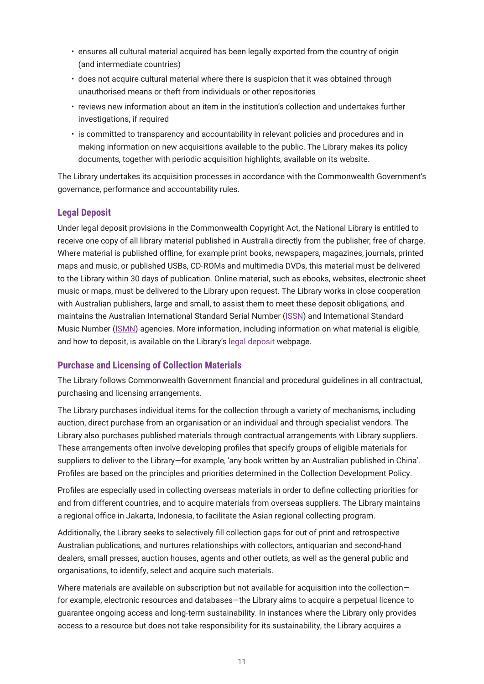- <span id="page-13-0"></span>• ensures all cultural material acquired has been legally exported from the country of origin (and intermediate countries)
- does not acquire cultural material where there is suspicion that it was obtained through unauthorised means or theft from individuals or other repositories
- reviews new information about an item in the institution's collection and undertakes further investigations, if required
- is committed to transparency and accountability in relevant policies and procedures and in making information on new acquisitions available to the public. The Library makes its policy documents, together with periodic acquisition highlights, available on its website.

The Library undertakes its acquisition processes in accordance with the Commonwealth Government's governance, performance and accountability rules.

### **Legal Deposit**

Under legal deposit provisions in the Commonwealth Copyright Act, the National Library is entitled to receive one copy of all library material published in Australia directly from the publisher, free of charge. Where material is published offline, for example print books, newspapers, magazines, journals, printed maps and music, or published USBs, CD-ROMs and multimedia DVDs, this material must be delivered to the Library within 30 days of publication. Online material, such as ebooks, websites, electronic sheet music or maps, must be delivered to the Library upon request. The Library works in close cooperation with Australian publishers, large and small, to assist them to meet these deposit obligations, and maintains the Australian International Standard Serial Number [\(ISSN\)](https://www.nla.gov.au/the-australian-issn-agency) and International Standard Music Number ([ISMN\)](https://www.nla.gov.au/ismn) agencies. More information, including information on what material is eligible, and how to deposit, is available on the Library's [legal deposit](https://www.nla.gov.au/legal-deposit) webpage.

### **Purchase and Licensing of Collection Materials**

The Library follows Commonwealth Government financial and procedural guidelines in all contractual, purchasing and licensing arrangements.

The Library purchases individual items for the collection through a variety of mechanisms, including auction, direct purchase from an organisation or an individual and through specialist vendors. The Library also purchases published materials through contractual arrangements with Library suppliers. These arrangements often involve developing profiles that specify groups of eligible materials for suppliers to deliver to the Library—for example, 'any book written by an Australian published in China'. Profiles are based on the principles and priorities determined in the Collection Development Policy.

Profiles are especially used in collecting overseas materials in order to define collecting priorities for and from different countries, and to acquire materials from overseas suppliers. The Library maintains a regional office in Jakarta, Indonesia, to facilitate the Asian regional collecting program.

Additionally, the Library seeks to selectively fill collection gaps for out of print and retrospective Australian publications, and nurtures relationships with collectors, antiquarian and second-hand dealers, small presses, auction houses, agents and other outlets, as well as the general public and organisations, to identify, select and acquire such materials.

Where materials are available on subscription but not available for acquisition into the collectionfor example, electronic resources and databases—the Library aims to acquire a perpetual licence to guarantee ongoing access and long-term sustainability. In instances where the Library only provides access to a resource but does not take responsibility for its sustainability, the Library acquires a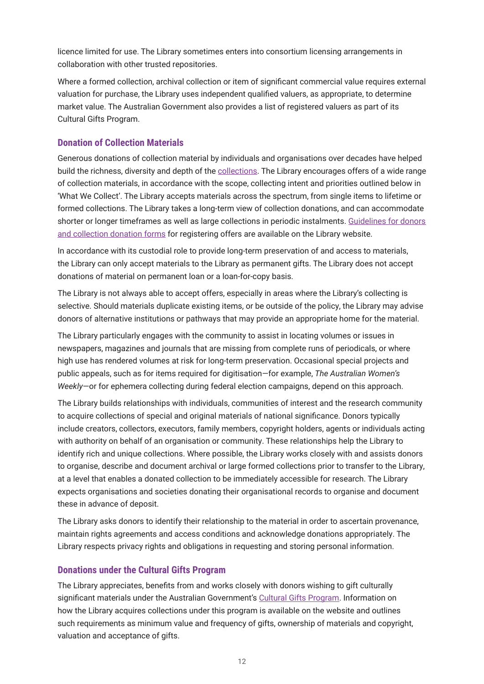<span id="page-14-0"></span>licence limited for use. The Library sometimes enters into consortium licensing arrangements in collaboration with other trusted repositories.

Where a formed collection, archival collection or item of significant commercial value requires external valuation for purchase, the Library uses independent qualified valuers, as appropriate, to determine market value. The Australian Government also provides a list of registered valuers as part of its Cultural Gifts Program.

### **Donation of Collection Materials**

Generous donations of collection material by individuals and organisations over decades have helped build the richness, diversity and depth of the [collections](https://www.nla.gov.au/collections). The Library encourages offers of a wide range of collection materials, in accordance with the scope, collecting intent and priorities outlined below in 'What We Collect'. The Library accepts materials across the spectrum, from single items to lifetime or formed collections. The Library takes a long-term view of collection donations, and can accommodate shorter or longer timeframes as well as large collections in periodic instalments. [Guidelines for donors](https://www.nla.gov.au/support-us/donate-collection-material)  [and collection donation forms](https://www.nla.gov.au/support-us/donate-collection-material) for registering offers are available on the Library website.

In accordance with its custodial role to provide long-term preservation of and access to materials, the Library can only accept materials to the Library as permanent gifts. The Library does not accept donations of material on permanent loan or a loan-for-copy basis.

The Library is not always able to accept offers, especially in areas where the Library's collecting is selective. Should materials duplicate existing items, or be outside of the policy, the Library may advise donors of alternative institutions or pathways that may provide an appropriate home for the material.

The Library particularly engages with the community to assist in locating volumes or issues in newspapers, magazines and journals that are missing from complete runs of periodicals, or where high use has rendered volumes at risk for long-term preservation. Occasional special projects and public appeals, such as for items required for digitisation—for example, *The Australian Women's Weekly*—or for ephemera collecting during federal election campaigns, depend on this approach.

The Library builds relationships with individuals, communities of interest and the research community to acquire collections of special and original materials of national significance. Donors typically include creators, collectors, executors, family members, copyright holders, agents or individuals acting with authority on behalf of an organisation or community. These relationships help the Library to identify rich and unique collections. Where possible, the Library works closely with and assists donors to organise, describe and document archival or large formed collections prior to transfer to the Library, at a level that enables a donated collection to be immediately accessible for research. The Library expects organisations and societies donating their organisational records to organise and document these in advance of deposit.

The Library asks donors to identify their relationship to the material in order to ascertain provenance, maintain rights agreements and access conditions and acknowledge donations appropriately. The Library respects privacy rights and obligations in requesting and storing personal information.

### **Donations under the Cultural Gifts Program**

The Library appreciates, benefits from and works closely with donors wishing to gift culturally significant materials under the Australian Government's [Cultural Gifts Program](http://arts.gov.au/tax_incentives/cgp). Information on how the Library acquires collections under this program is available on the website and outlines such requirements as minimum value and frequency of gifts, ownership of materials and copyright, valuation and acceptance of gifts.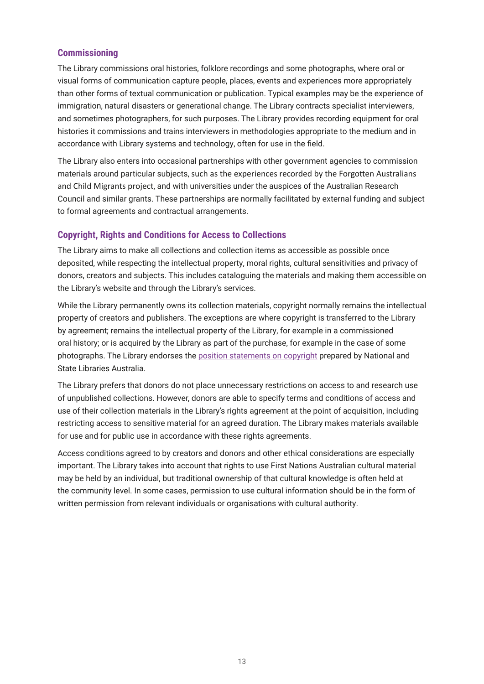### <span id="page-15-0"></span>**Commissioning**

The Library commissions oral histories, folklore recordings and some photographs, where oral or visual forms of communication capture people, places, events and experiences more appropriately than other forms of textual communication or publication. Typical examples may be the experience of immigration, natural disasters or generational change. The Library contracts specialist interviewers, and sometimes photographers, for such purposes. The Library provides recording equipment for oral histories it commissions and trains interviewers in methodologies appropriate to the medium and in accordance with Library systems and technology, often for use in the field.

The Library also enters into occasional partnerships with other government agencies to commission materials around particular subjects, such as the experiences recorded by the Forgotten Australians and Child Migrants project, and with universities under the auspices of the Australian Research Council and similar grants. These partnerships are normally facilitated by external funding and subject to formal agreements and contractual arrangements.

### **Copyright, Rights and Conditions for Access to Collections**

The Library aims to make all collections and collection items as accessible as possible once deposited, while respecting the intellectual property, moral rights, cultural sensitivities and privacy of donors, creators and subjects. This includes cataloguing the materials and making them accessible on the Library's website and through the Library's services.

While the Library permanently owns its collection materials, copyright normally remains the intellectual property of creators and publishers. The exceptions are where copyright is transferred to the Library by agreement; remains the intellectual property of the Library, for example in a commissioned oral history; or is acquired by the Library as part of the purchase, for example in the case of some photographs. The Library endorses the [position statements on copyright](https://www.nla.gov.au/policy-and-planning/copyright-position-statement) prepared by National and State Libraries Australia.

The Library prefers that donors do not place unnecessary restrictions on access to and research use of unpublished collections. However, donors are able to specify terms and conditions of access and use of their collection materials in the Library's rights agreement at the point of acquisition, including restricting access to sensitive material for an agreed duration. The Library makes materials available for use and for public use in accordance with these rights agreements.

Access conditions agreed to by creators and donors and other ethical considerations are especially important. The Library takes into account that rights to use First Nations Australian cultural material may be held by an individual, but traditional ownership of that cultural knowledge is often held at the community level. In some cases, permission to use cultural information should be in the form of written permission from relevant individuals or organisations with cultural authority.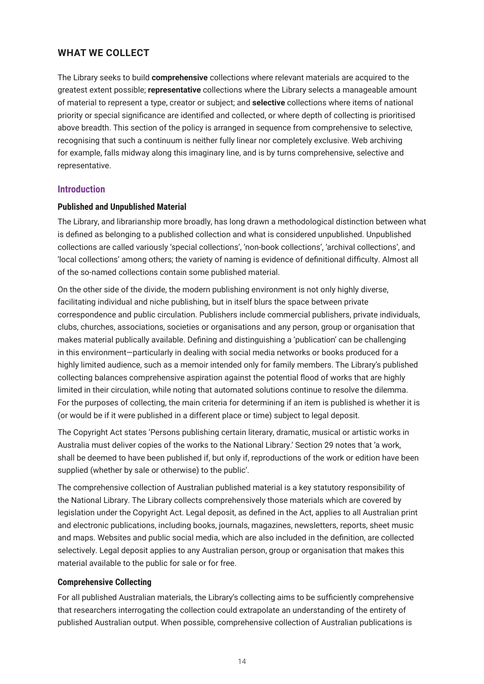### <span id="page-16-0"></span>**WHAT WE COLLECT**

The Library seeks to build **comprehensive** collections where relevant materials are acquired to the greatest extent possible; **representative** collections where the Library selects a manageable amount of material to represent a type, creator or subject; and **selective** collections where items of national priority or special significance are identified and collected, or where depth of collecting is prioritised above breadth. This section of the policy is arranged in sequence from comprehensive to selective, recognising that such a continuum is neither fully linear nor completely exclusive. Web archiving for example, falls midway along this imaginary line, and is by turns comprehensive, selective and representative.

### **Introduction**

#### **Published and Unpublished Material**

The Library, and librarianship more broadly, has long drawn a methodological distinction between what is defined as belonging to a published collection and what is considered unpublished. Unpublished collections are called variously 'special collections', 'non-book collections', 'archival collections', and 'local collections' among others; the variety of naming is evidence of definitional difficulty. Almost all of the so-named collections contain some published material.

On the other side of the divide, the modern publishing environment is not only highly diverse, facilitating individual and niche publishing, but in itself blurs the space between private correspondence and public circulation. Publishers include commercial publishers, private individuals, clubs, churches, associations, societies or organisations and any person, group or organisation that makes material publically available. Defining and distinguishing a 'publication' can be challenging in this environment—particularly in dealing with social media networks or books produced for a highly limited audience, such as a memoir intended only for family members. The Library's published collecting balances comprehensive aspiration against the potential flood of works that are highly limited in their circulation, while noting that automated solutions continue to resolve the dilemma. For the purposes of collecting, the main criteria for determining if an item is published is whether it is (or would be if it were published in a different place or time) subject to legal deposit.

The Copyright Act states 'Persons publishing certain literary, dramatic, musical or artistic works in Australia must deliver copies of the works to the National Library.' Section 29 notes that 'a work, shall be deemed to have been published if, but only if, reproductions of the work or edition have been supplied (whether by sale or otherwise) to the public'.

The comprehensive collection of Australian published material is a key statutory responsibility of the National Library. The Library collects comprehensively those materials which are covered by legislation under the Copyright Act. Legal deposit, as defined in the Act, applies to all Australian print and electronic publications, including books, journals, magazines, newsletters, reports, sheet music and maps. Websites and public social media, which are also included in the definition, are collected selectively. Legal deposit applies to any Australian person, group or organisation that makes this material available to the public for sale or for free.

#### **Comprehensive Collecting**

For all published Australian materials, the Library's collecting aims to be sufficiently comprehensive that researchers interrogating the collection could extrapolate an understanding of the entirety of published Australian output. When possible, comprehensive collection of Australian publications is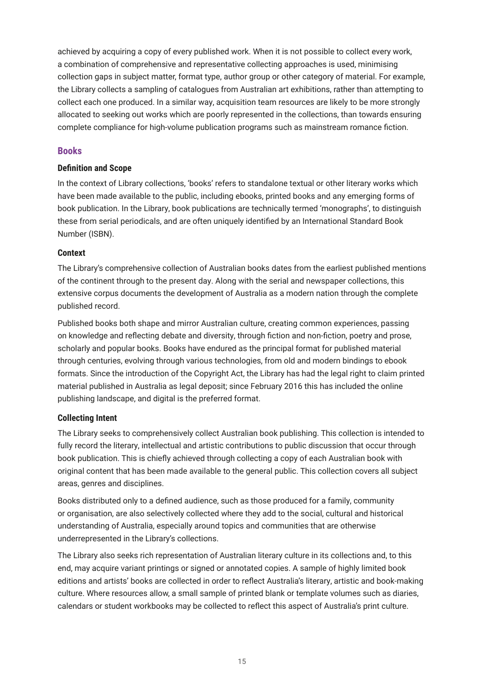<span id="page-17-0"></span>achieved by acquiring a copy of every published work. When it is not possible to collect every work, a combination of comprehensive and representative collecting approaches is used, minimising collection gaps in subject matter, format type, author group or other category of material. For example, the Library collects a sampling of catalogues from Australian art exhibitions, rather than attempting to collect each one produced. In a similar way, acquisition team resources are likely to be more strongly allocated to seeking out works which are poorly represented in the collections, than towards ensuring complete compliance for high-volume publication programs such as mainstream romance fiction.

### **Books**

### **Definition and Scope**

In the context of Library collections, 'books' refers to standalone textual or other literary works which have been made available to the public, including ebooks, printed books and any emerging forms of book publication. In the Library, book publications are technically termed 'monographs', to distinguish these from serial periodicals, and are often uniquely identified by an International Standard Book Number (ISBN).

#### **Context**

The Library's comprehensive collection of Australian books dates from the earliest published mentions of the continent through to the present day. Along with the serial and newspaper collections, this extensive corpus documents the development of Australia as a modern nation through the complete published record.

Published books both shape and mirror Australian culture, creating common experiences, passing on knowledge and reflecting debate and diversity, through fiction and non-fiction, poetry and prose, scholarly and popular books. Books have endured as the principal format for published material through centuries, evolving through various technologies, from old and modern bindings to ebook formats. Since the introduction of the Copyright Act, the Library has had the legal right to claim printed material published in Australia as legal deposit; since February 2016 this has included the online publishing landscape, and digital is the preferred format.

### **Collecting Intent**

The Library seeks to comprehensively collect Australian book publishing. This collection is intended to fully record the literary, intellectual and artistic contributions to public discussion that occur through book publication. This is chiefly achieved through collecting a copy of each Australian book with original content that has been made available to the general public. This collection covers all subject areas, genres and disciplines.

Books distributed only to a defined audience, such as those produced for a family, community or organisation, are also selectively collected where they add to the social, cultural and historical understanding of Australia, especially around topics and communities that are otherwise underrepresented in the Library's collections.

The Library also seeks rich representation of Australian literary culture in its collections and, to this end, may acquire variant printings or signed or annotated copies. A sample of highly limited book editions and artists' books are collected in order to reflect Australia's literary, artistic and book-making culture. Where resources allow, a small sample of printed blank or template volumes such as diaries, calendars or student workbooks may be collected to reflect this aspect of Australia's print culture.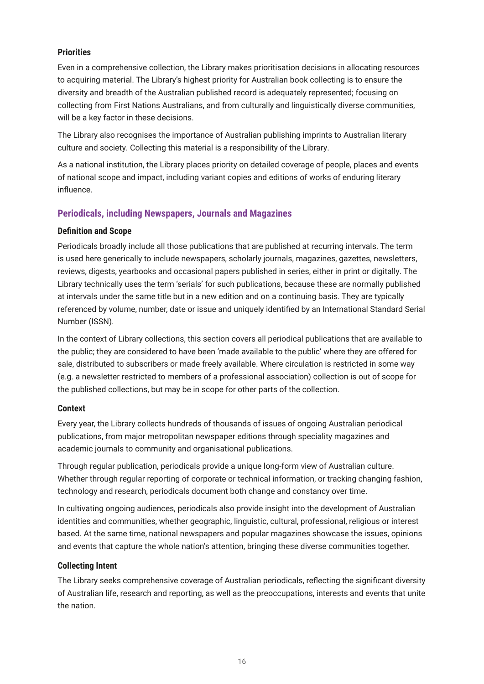### <span id="page-18-0"></span>**Priorities**

Even in a comprehensive collection, the Library makes prioritisation decisions in allocating resources to acquiring material. The Library's highest priority for Australian book collecting is to ensure the diversity and breadth of the Australian published record is adequately represented; focusing on collecting from First Nations Australians, and from culturally and linguistically diverse communities, will be a key factor in these decisions.

The Library also recognises the importance of Australian publishing imprints to Australian literary culture and society. Collecting this material is a responsibility of the Library.

As a national institution, the Library places priority on detailed coverage of people, places and events of national scope and impact, including variant copies and editions of works of enduring literary influence.

### **Periodicals, including Newspapers, Journals and Magazines**

### **Definition and Scope**

Periodicals broadly include all those publications that are published at recurring intervals. The term is used here generically to include newspapers, scholarly journals, magazines, gazettes, newsletters, reviews, digests, yearbooks and occasional papers published in series, either in print or digitally. The Library technically uses the term 'serials' for such publications, because these are normally published at intervals under the same title but in a new edition and on a continuing basis. They are typically referenced by volume, number, date or issue and uniquely identified by an International Standard Serial Number (ISSN).

In the context of Library collections, this section covers all periodical publications that are available to the public; they are considered to have been 'made available to the public' where they are offered for sale, distributed to subscribers or made freely available. Where circulation is restricted in some way (e.g. a newsletter restricted to members of a professional association) collection is out of scope for the published collections, but may be in scope for other parts of the collection.

### **Context**

Every year, the Library collects hundreds of thousands of issues of ongoing Australian periodical publications, from major metropolitan newspaper editions through speciality magazines and academic journals to community and organisational publications.

Through regular publication, periodicals provide a unique long-form view of Australian culture. Whether through regular reporting of corporate or technical information, or tracking changing fashion, technology and research, periodicals document both change and constancy over time.

In cultivating ongoing audiences, periodicals also provide insight into the development of Australian identities and communities, whether geographic, linguistic, cultural, professional, religious or interest based. At the same time, national newspapers and popular magazines showcase the issues, opinions and events that capture the whole nation's attention, bringing these diverse communities together.

### **Collecting Intent**

The Library seeks comprehensive coverage of Australian periodicals, reflecting the significant diversity of Australian life, research and reporting, as well as the preoccupations, interests and events that unite the nation.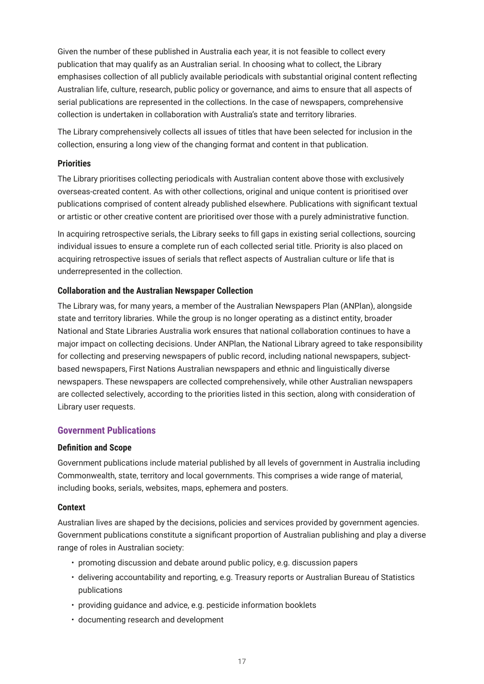<span id="page-19-0"></span>Given the number of these published in Australia each year, it is not feasible to collect every publication that may qualify as an Australian serial. In choosing what to collect, the Library emphasises collection of all publicly available periodicals with substantial original content reflecting Australian life, culture, research, public policy or governance, and aims to ensure that all aspects of serial publications are represented in the collections. In the case of newspapers, comprehensive collection is undertaken in collaboration with Australia's state and territory libraries.

The Library comprehensively collects all issues of titles that have been selected for inclusion in the collection, ensuring a long view of the changing format and content in that publication.

#### **Priorities**

The Library prioritises collecting periodicals with Australian content above those with exclusively overseas-created content. As with other collections, original and unique content is prioritised over publications comprised of content already published elsewhere. Publications with significant textual or artistic or other creative content are prioritised over those with a purely administrative function.

In acquiring retrospective serials, the Library seeks to fill gaps in existing serial collections, sourcing individual issues to ensure a complete run of each collected serial title. Priority is also placed on acquiring retrospective issues of serials that reflect aspects of Australian culture or life that is underrepresented in the collection.

#### **Collaboration and the Australian Newspaper Collection**

The Library was, for many years, a member of the [Australian Newspapers Plan](https://www.nla.gov.au/australian-newspaper-plan) (ANPlan), alongside state and territory libraries. While the group is no longer operating as a distinct entity, broader National and State Libraries Australia work ensures that national collaboration continues to have a major impact on collecting decisions. Under ANPlan, the National Library agreed to take responsibility for collecting and preserving newspapers of public record, including national newspapers, subjectbased newspapers, First Nations Australian newspapers and ethnic and linguistically diverse newspapers. These newspapers are collected comprehensively, while other Australian newspapers are collected selectively, according to the priorities listed in this section, along with consideration of Library user requests.

### **Government Publications**

#### **Definition and Scope**

Government publications include material published by all levels of government in Australia including Commonwealth, state, territory and local governments. This comprises a wide range of material, including books, serials, websites, maps, ephemera and posters.

#### **Context**

Australian lives are shaped by the decisions, policies and services provided by government agencies. Government publications constitute a significant proportion of Australian publishing and play a diverse range of roles in Australian society:

- promoting discussion and debate around public policy, e.g. discussion papers
- delivering accountability and reporting, e.g. Treasury reports or Australian Bureau of Statistics publications
- providing guidance and advice, e.g. pesticide information booklets
- documenting research and development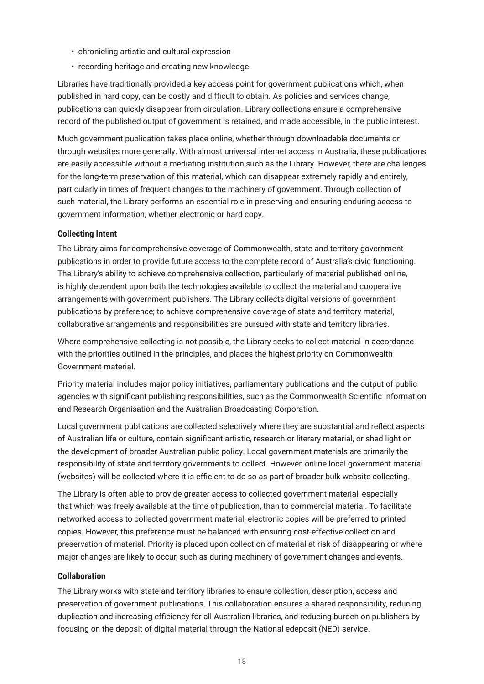- <span id="page-20-0"></span>• chronicling artistic and cultural expression
- recording heritage and creating new knowledge.

Libraries have traditionally provided a key access point for government publications which, when published in hard copy, can be costly and difficult to obtain. As policies and services change, publications can quickly disappear from circulation. Library collections ensure a comprehensive record of the published output of government is retained, and made accessible, in the public interest.

Much government publication takes place online, whether through downloadable documents or through websites more generally. With almost universal internet access in Australia, these publications are easily accessible without a mediating institution such as the Library. However, there are challenges for the long-term preservation of this material, which can disappear extremely rapidly and entirely, particularly in times of frequent changes to the machinery of government. Through collection of such material, the Library performs an essential role in preserving and ensuring enduring access to government information, whether electronic or hard copy.

### **Collecting Intent**

The Library aims for comprehensive coverage of Commonwealth, state and territory government publications in order to provide future access to the complete record of Australia's civic functioning. The Library's ability to achieve comprehensive collection, particularly of material published online, is highly dependent upon both the technologies available to collect the material and cooperative arrangements with government publishers. The Library collects digital versions of government publications by preference; to achieve comprehensive coverage of state and territory material, collaborative arrangements and responsibilities are pursued with state and territory libraries.

Where comprehensive collecting is not possible, the Library seeks to collect material in accordance with the priorities outlined in the principles, and places the highest priority on Commonwealth Government material.

Priority material includes major policy initiatives, parliamentary publications and the output of public agencies with significant publishing responsibilities, such as the Commonwealth Scientific Information and Research Organisation and the Australian Broadcasting Corporation.

Local government publications are collected selectively where they are substantial and reflect aspects of Australian life or culture, contain significant artistic, research or literary material, or shed light on the development of broader Australian public policy. Local government materials are primarily the responsibility of state and territory governments to collect. However, online local government material (websites) will be collected where it is efficient to do so as part of broader bulk website collecting.

The Library is often able to provide greater access to collected government material, especially that which was freely available at the time of publication, than to commercial material. To facilitate networked access to collected government material, electronic copies will be preferred to printed copies. However, this preference must be balanced with ensuring cost-effective collection and preservation of material. Priority is placed upon collection of material at risk of disappearing or where major changes are likely to occur, such as during machinery of government changes and events.

### **Collaboration**

The Library works with state and territory libraries to ensure collection, description, access and preservation of government publications. This collaboration ensures a shared responsibility, reducing duplication and increasing efficiency for all Australian libraries, and reducing burden on publishers by focusing on the deposit of digital material through the National edeposit (NED) service.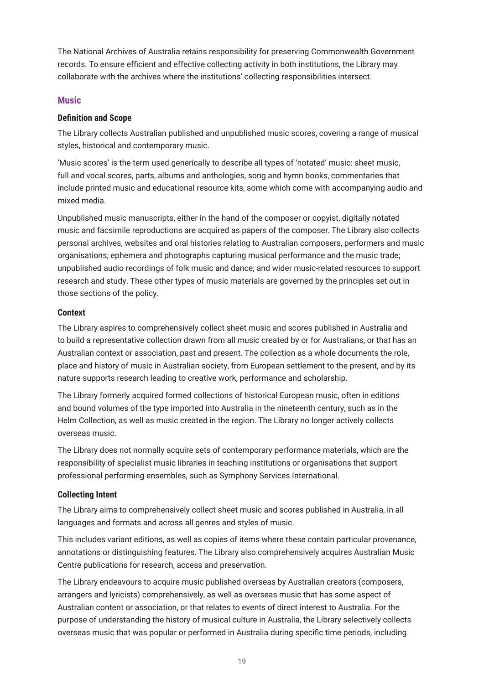<span id="page-21-0"></span>The National Archives of Australia retains responsibility for preserving Commonwealth Government records. To ensure efficient and effective collecting activity in both institutions, the Library may collaborate with the archives where the institutions' collecting responsibilities intersect.

### **Music**

### **Definition and Scope**

The Library collects Australian published and unpublished music scores, covering a range of musical styles, historical and contemporary music.

'Music scores' is the term used generically to describe all types of 'notated' music: sheet music, full and vocal scores, parts, albums and anthologies, song and hymn books, commentaries that include printed music and educational resource kits, some which come with accompanying audio and mixed media.

Unpublished music manuscripts, either in the hand of the composer or copyist, digitally notated music and facsimile reproductions are acquired as papers of the composer. The Library also collects personal archives, websites and oral histories relating to Australian composers, performers and music organisations; ephemera and photographs capturing musical performance and the music trade; unpublished audio recordings of folk music and dance; and wider music-related resources to support research and study. These other types of music materials are governed by the principles set out in those sections of the policy.

### **Context**

The Library aspires to comprehensively collect sheet music and scores published in Australia and to build a representative collection drawn from all music created by or for Australians, or that has an Australian context or association, past and present. The collection as a whole documents the role, place and history of music in Australian society, from European settlement to the present, and by its nature supports research leading to creative work, performance and scholarship.

The Library formerly acquired formed collections of historical European music, often in editions and bound volumes of the type imported into Australia in the nineteenth century, such as in the Helm Collection, as well as music created in the region. The Library no longer actively collects overseas music.

The Library does not normally acquire sets of contemporary performance materials, which are the responsibility of specialist music libraries in teaching institutions or organisations that support professional performing ensembles, such as Symphony Services International.

### **Collecting Intent**

The Library aims to comprehensively collect sheet music and scores published in Australia, in all languages and formats and across all genres and styles of music.

This includes variant editions, as well as copies of items where these contain particular provenance, annotations or distinguishing features. The Library also comprehensively acquires Australian Music Centre publications for research, access and preservation.

The Library endeavours to acquire music published overseas by Australian creators (composers, arrangers and lyricists) comprehensively, as well as overseas music that has some aspect of Australian content or association, or that relates to events of direct interest to Australia. For the purpose of understanding the history of musical culture in Australia, the Library selectively collects overseas music that was popular or performed in Australia during specific time periods, including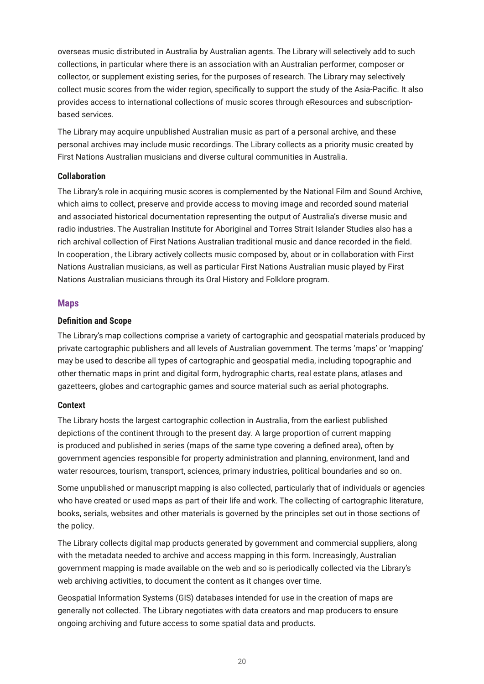<span id="page-22-0"></span>overseas music distributed in Australia by Australian agents. The Library will selectively add to such collections, in particular where there is an association with an Australian performer, composer or collector, or supplement existing series, for the purposes of research. The Library may selectively collect music scores from the wider region, specifically to support the study of the Asia-Pacific. It also provides access to international collections of music scores through eResources and subscriptionbased services.

The Library may acquire unpublished Australian music as part of a personal archive, and these personal archives may include music recordings. The Library collects as a priority music created by First Nations Australian musicians and diverse cultural communities in Australia.

### **Collaboration**

The Library's role in acquiring music scores is complemented by the National Film and Sound Archive, which aims to collect, preserve and provide access to moving image and recorded sound material and associated historical documentation representing the output of Australia's diverse music and radio industries. The Australian Institute for Aboriginal and Torres Strait Islander Studies also has a rich archival collection of First Nations Australian traditional music and dance recorded in the field. In cooperation , the Library actively collects music composed by, about or in collaboration with First Nations Australian musicians, as well as particular First Nations Australian music played by First Nations Australian musicians through its Oral History and Folklore program.

### **Maps**

### **Definition and Scope**

The Library's map collections comprise a variety of cartographic and geospatial materials produced by private cartographic publishers and all levels of Australian government. The terms 'maps' or 'mapping' may be used to describe all types of cartographic and geospatial media, including topographic and other thematic maps in print and digital form, hydrographic charts, real estate plans, atlases and gazetteers, globes and cartographic games and source material such as aerial photographs.

### **Context**

The Library hosts the largest cartographic collection in Australia, from the earliest published depictions of the continent through to the present day. A large proportion of current mapping is produced and published in series (maps of the same type covering a defined area), often by government agencies responsible for property administration and planning, environment, land and water resources, tourism, transport, sciences, primary industries, political boundaries and so on.

Some unpublished or manuscript mapping is also collected, particularly that of individuals or agencies who have created or used maps as part of their life and work. The collecting of cartographic literature, books, serials, websites and other materials is governed by the principles set out in those sections of the policy.

The Library collects digital map products generated by government and commercial suppliers, along with the metadata needed to archive and access mapping in this form. Increasingly, Australian government mapping is made available on the web and so is periodically collected via the Library's web archiving activities, to document the content as it changes over time.

Geospatial Information Systems (GIS) databases intended for use in the creation of maps are generally not collected. The Library negotiates with data creators and map producers to ensure ongoing archiving and future access to some spatial data and products.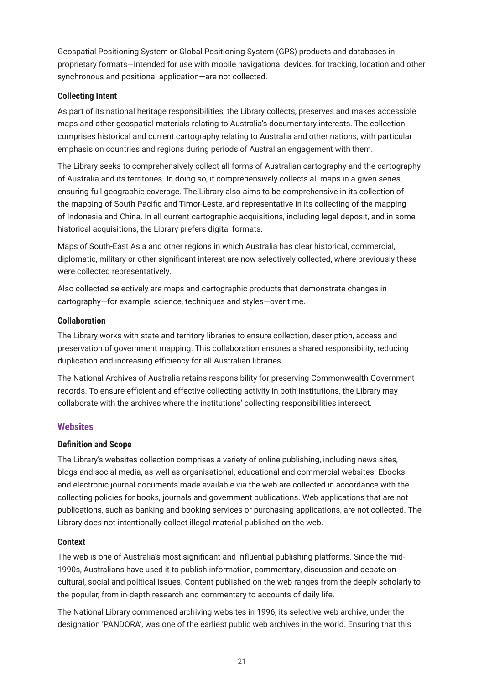<span id="page-23-0"></span>Geospatial Positioning System or Global Positioning System (GPS) products and databases in proprietary formats—intended for use with mobile navigational devices, for tracking, location and other synchronous and positional application—are not collected.

### **Collecting Intent**

As part of its national heritage responsibilities, the Library collects, preserves and makes accessible maps and other geospatial materials relating to Australia's documentary interests. The collection comprises historical and current cartography relating to Australia and other nations, with particular emphasis on countries and regions during periods of Australian engagement with them.

The Library seeks to comprehensively collect all forms of Australian cartography and the cartography of Australia and its territories. In doing so, it comprehensively collects all maps in a given series, ensuring full geographic coverage. The Library also aims to be comprehensive in its collection of the mapping of South Pacific and Timor-Leste, and representative in its collecting of the mapping of Indonesia and China. In all current cartographic acquisitions, including legal deposit, and in some historical acquisitions, the Library prefers digital formats.

Maps of South-East Asia and other regions in which Australia has clear historical, commercial, diplomatic, military or other significant interest are now selectively collected, where previously these were collected representatively.

Also collected selectively are maps and cartographic products that demonstrate changes in cartography—for example, science, techniques and styles—over time.

### **Collaboration**

The Library works with state and territory libraries to ensure collection, description, access and preservation of government mapping. This collaboration ensures a shared responsibility, reducing duplication and increasing efficiency for all Australian libraries.

The National Archives of Australia retains responsibility for preserving Commonwealth Government records. To ensure efficient and effective collecting activity in both institutions, the Library may collaborate with the archives where the institutions' collecting responsibilities intersect.

### **Websites**

### **Definition and Scope**

The Library's websites collection comprises a variety of online publishing, including news sites, blogs and social media, as well as organisational, educational and commercial websites. Ebooks and electronic journal documents made available via the web are collected in accordance with the collecting policies for books, journals and government publications. Web applications that are not publications, such as banking and booking services or purchasing applications, are not collected. The Library does not intentionally collect illegal material published on the web.

### **Context**

The web is one of Australia's most significant and influential publishing platforms. Since the mid-1990s, Australians have used it to publish information, commentary, discussion and debate on cultural, social and political issues. Content published on the web ranges from the deeply scholarly to the popular, from in-depth research and commentary to accounts of daily life.

The National Library commenced archiving websites in 1996; its selective web archive, under the designation 'PANDORA', was one of the earliest public web archives in the world. Ensuring that this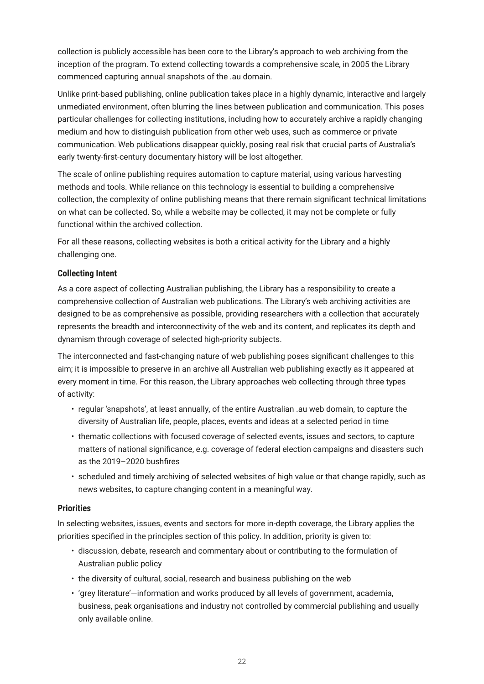<span id="page-24-0"></span>collection is publicly accessible has been core to the Library's approach to web archiving from the inception of the program. To extend collecting towards a comprehensive scale, in 2005 the Library commenced capturing annual snapshots of the .au domain.

Unlike print-based publishing, online publication takes place in a highly dynamic, interactive and largely unmediated environment, often blurring the lines between publication and communication. This poses particular challenges for collecting institutions, including how to accurately archive a rapidly changing medium and how to distinguish publication from other web uses, such as commerce or private communication. Web publications disappear quickly, posing real risk that crucial parts of Australia's early twenty-first-century documentary history will be lost altogether.

The scale of online publishing requires automation to capture material, using various harvesting methods and tools. While reliance on this technology is essential to building a comprehensive collection, the complexity of online publishing means that there remain significant technical limitations on what can be collected. So, while a website may be collected, it may not be complete or fully functional within the archived collection.

For all these reasons, collecting websites is both a critical activity for the Library and a highly challenging one.

### **Collecting Intent**

As a core aspect of collecting Australian publishing, the Library has a responsibility to create a comprehensive collection of Australian web publications. The Library's web archiving activities are designed to be as comprehensive as possible, providing researchers with a collection that accurately represents the breadth and interconnectivity of the web and its content, and replicates its depth and dynamism through coverage of selected high-priority subjects.

The interconnected and fast-changing nature of web publishing poses significant challenges to this aim; it is impossible to preserve in an archive all Australian web publishing exactly as it appeared at every moment in time. For this reason, the Library approaches web collecting through three types of activity:

- regular 'snapshots', at least annually, of the entire Australian .au web domain, to capture the diversity of Australian life, people, places, events and ideas at a selected period in time
- thematic collections with focused coverage of selected events, issues and sectors, to capture matters of national significance, e.g. coverage of federal election campaigns and disasters such as the 2019–2020 bushfires
- scheduled and timely archiving of selected websites of high value or that change rapidly, such as news websites, to capture changing content in a meaningful way.

### **Priorities**

In selecting websites, issues, events and sectors for more in-depth coverage, the Library applies the priorities specified in the principles section of this policy. In addition, priority is given to:

- discussion, debate, research and commentary about or contributing to the formulation of Australian public policy
- the diversity of cultural, social, research and business publishing on the web
- 'grey literature'—information and works produced by all levels of government, academia, business, peak organisations and industry not controlled by commercial publishing and usually only available online.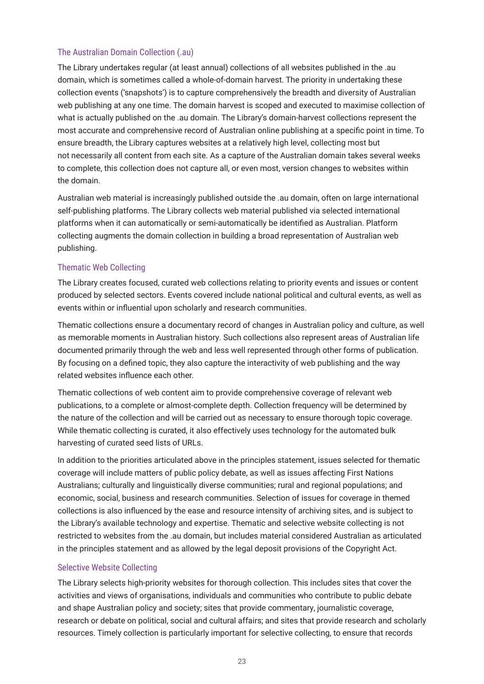### The Australian Domain Collection (.au)

The Library undertakes regular (at least annual) collections of all websites published in the .au domain, which is sometimes called a whole-of-domain harvest. The priority in undertaking these collection events ('snapshots') is to capture comprehensively the breadth and diversity of Australian web publishing at any one time. The domain harvest is scoped and executed to maximise collection of what is actually published on the .au domain. The Library's domain-harvest collections represent the most accurate and comprehensive record of Australian online publishing at a specific point in time. To ensure breadth, the Library captures websites at a relatively high level, collecting most but not necessarily all content from each site. As a capture of the Australian domain takes several weeks to complete, this collection does not capture all, or even most, version changes to websites within the domain.

Australian web material is increasingly published outside the .au domain, often on large international self-publishing platforms. The Library collects web material published via selected international platforms when it can automatically or semi-automatically be identified as Australian. Platform collecting augments the domain collection in building a broad representation of Australian web publishing.

### Thematic Web Collecting

The Library creates focused, curated web collections relating to priority events and issues or content produced by selected sectors. Events covered include national political and cultural events, as well as events within or influential upon scholarly and research communities.

Thematic collections ensure a documentary record of changes in Australian policy and culture, as well as memorable moments in Australian history. Such collections also represent areas of Australian life documented primarily through the web and less well represented through other forms of publication. By focusing on a defined topic, they also capture the interactivity of web publishing and the way related websites influence each other.

Thematic collections of web content aim to provide comprehensive coverage of relevant web publications, to a complete or almost-complete depth. Collection frequency will be determined by the nature of the collection and will be carried out as necessary to ensure thorough topic coverage. While thematic collecting is curated, it also effectively uses technology for the automated bulk harvesting of curated seed lists of URLs.

In addition to the priorities articulated above in the principles statement, issues selected for thematic coverage will include matters of public policy debate, as well as issues affecting First Nations Australians; culturally and linguistically diverse communities; rural and regional populations; and economic, social, business and research communities. Selection of issues for coverage in themed collections is also influenced by the ease and resource intensity of archiving sites, and is subject to the Library's available technology and expertise. Thematic and selective website collecting is not restricted to websites from the .au domain, but includes material considered Australian as articulated in the principles statement and as allowed by the legal deposit provisions of the Copyright Act.

### Selective Website Collecting

The Library selects high-priority websites for thorough collection. This includes sites that cover the activities and views of organisations, individuals and communities who contribute to public debate and shape Australian policy and society; sites that provide commentary, journalistic coverage, research or debate on political, social and cultural affairs; and sites that provide research and scholarly resources. Timely collection is particularly important for selective collecting, to ensure that records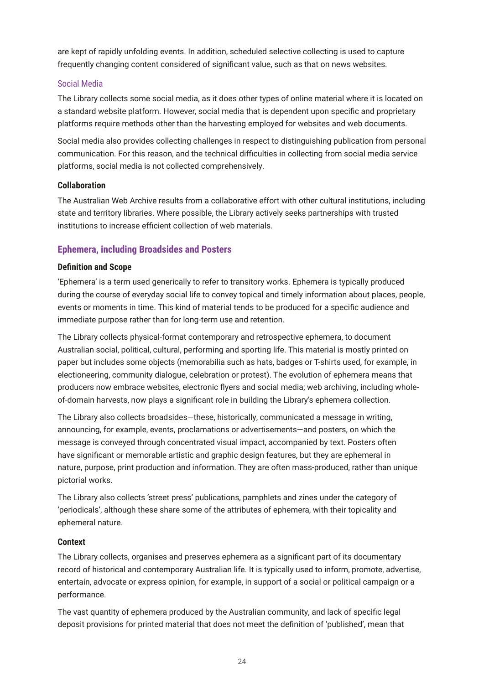<span id="page-26-0"></span>are kept of rapidly unfolding events. In addition, scheduled selective collecting is used to capture frequently changing content considered of significant value, such as that on news websites.

### Social Media

The Library collects some social media, as it does other types of online material where it is located on a standard website platform. However, social media that is dependent upon specific and proprietary platforms require methods other than the harvesting employed for websites and web documents.

Social media also provides collecting challenges in respect to distinguishing publication from personal communication. For this reason, and the technical difficulties in collecting from social media service platforms, social media is not collected comprehensively.

### **Collaboration**

The Australian Web Archive results from a collaborative effort with other cultural institutions, including state and territory libraries. Where possible, the Library actively seeks partnerships with trusted institutions to increase efficient collection of web materials.

### **Ephemera, including Broadsides and Posters**

### **Definition and Scope**

'Ephemera' is a term used generically to refer to transitory works. Ephemera is typically produced during the course of everyday social life to convey topical and timely information about places, people, events or moments in time. This kind of material tends to be produced for a specific audience and immediate purpose rather than for long-term use and retention.

The Library collects physical-format contemporary and retrospective ephemera, to document Australian social, political, cultural, performing and sporting life. This material is mostly printed on paper but includes some objects (memorabilia such as hats, badges or T-shirts used, for example, in electioneering, community dialogue, celebration or protest). The evolution of ephemera means that producers now embrace websites, electronic flyers and social media; web archiving, including wholeof-domain harvests, now plays a significant role in building the Library's ephemera collection.

The Library also collects broadsides—these, historically, communicated a message in writing, announcing, for example, events, proclamations or advertisements—and posters, on which the message is conveyed through concentrated visual impact, accompanied by text. Posters often have significant or memorable artistic and graphic design features, but they are ephemeral in nature, purpose, print production and information. They are often mass-produced, rather than unique pictorial works.

The Library also collects 'street press' publications, pamphlets and zines under the category of 'periodicals', although these share some of the attributes of ephemera, with their topicality and ephemeral nature.

### **Context**

The Library collects, organises and preserves ephemera as a significant part of its documentary record of historical and contemporary Australian life. It is typically used to inform, promote, advertise, entertain, advocate or express opinion, for example, in support of a social or political campaign or a performance.

The vast quantity of ephemera produced by the Australian community, and lack of specific legal deposit provisions for printed material that does not meet the definition of 'published', mean that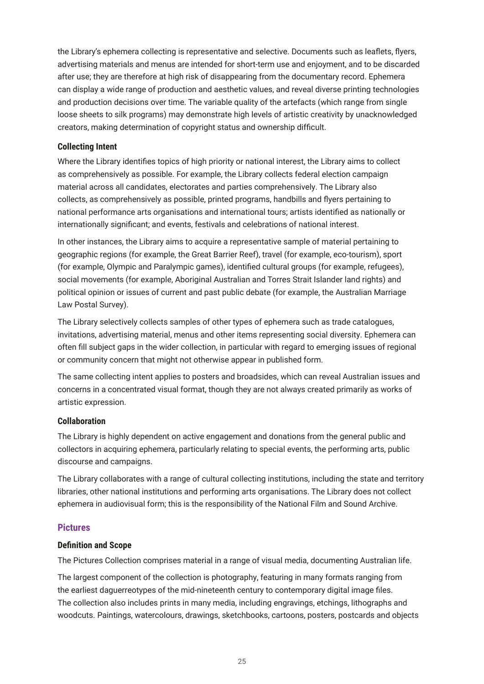<span id="page-27-0"></span>the Library's ephemera collecting is representative and selective. Documents such as leaflets, flyers, advertising materials and menus are intended for short-term use and enjoyment, and to be discarded after use; they are therefore at high risk of disappearing from the documentary record. Ephemera can display a wide range of production and aesthetic values, and reveal diverse printing technologies and production decisions over time. The variable quality of the artefacts (which range from single loose sheets to silk programs) may demonstrate high levels of artistic creativity by unacknowledged creators, making determination of copyright status and ownership difficult.

### **Collecting Intent**

Where the Library identifies topics of high priority or national interest, the Library aims to collect as comprehensively as possible. For example, the Library collects federal election campaign material across all candidates, electorates and parties comprehensively. The Library also collects, as comprehensively as possible, printed programs, handbills and flyers pertaining to national performance arts organisations and international tours; artists identified as nationally or internationally significant; and events, festivals and celebrations of national interest.

In other instances, the Library aims to acquire a representative sample of material pertaining to geographic regions (for example, the Great Barrier Reef), travel (for example, eco-tourism), sport (for example, Olympic and Paralympic games), identified cultural groups (for example, refugees), social movements (for example, Aboriginal Australian and Torres Strait Islander land rights) and political opinion or issues of current and past public debate (for example, the Australian Marriage Law Postal Survey).

The Library selectively collects samples of other types of ephemera such as trade catalogues, invitations, advertising material, menus and other items representing social diversity. Ephemera can often fill subject gaps in the wider collection, in particular with regard to emerging issues of regional or community concern that might not otherwise appear in published form.

The same collecting intent applies to posters and broadsides, which can reveal Australian issues and concerns in a concentrated visual format, though they are not always created primarily as works of artistic expression.

### **Collaboration**

The Library is highly dependent on active engagement and donations from the general public and collectors in acquiring ephemera, particularly relating to special events, the performing arts, public discourse and campaigns.

The Library collaborates with a range of cultural collecting institutions, including the state and territory libraries, other national institutions and performing arts organisations. The Library does not collect ephemera in audiovisual form; this is the responsibility of the National Film and Sound Archive.

### **Pictures**

#### **Definition and Scope**

The Pictures Collection comprises material in a range of visual media, documenting Australian life.

The largest component of the collection is photography, featuring in many formats ranging from the earliest daguerreotypes of the mid-nineteenth century to contemporary digital image files. The collection also includes prints in many media, including engravings, etchings, lithographs and woodcuts. Paintings, watercolours, drawings, sketchbooks, cartoons, posters, postcards and objects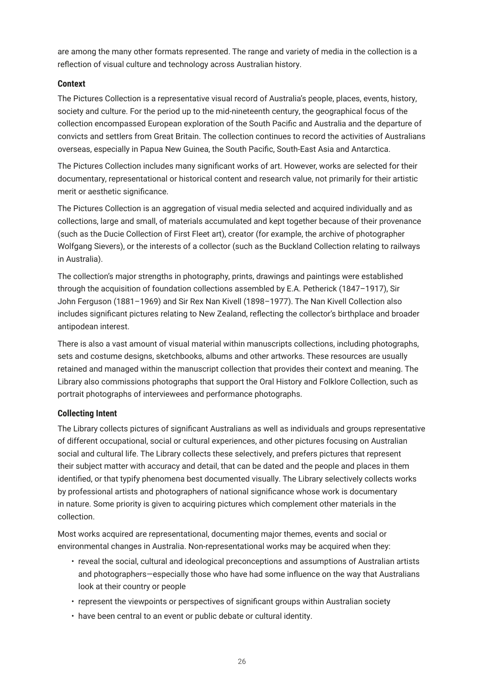<span id="page-28-0"></span>are among the many other formats represented. The range and variety of media in the collection is a reflection of visual culture and technology across Australian history.

### **Context**

The Pictures Collection is a representative visual record of Australia's people, places, events, history, society and culture. For the period up to the mid-nineteenth century, the geographical focus of the collection encompassed European exploration of the South Pacific and Australia and the departure of convicts and settlers from Great Britain. The collection continues to record the activities of Australians overseas, especially in Papua New Guinea, the South Pacific, South-East Asia and Antarctica.

The Pictures Collection includes many significant works of art. However, works are selected for their documentary, representational or historical content and research value, not primarily for their artistic merit or aesthetic significance.

The Pictures Collection is an aggregation of visual media selected and acquired individually and as collections, large and small, of materials accumulated and kept together because of their provenance (such as the Ducie Collection of First Fleet art), creator (for example, the archive of photographer Wolfgang Sievers), or the interests of a collector (such as the Buckland Collection relating to railways in Australia).

The collection's major strengths in photography, prints, drawings and paintings were established through the acquisition of foundation collections assembled by E.A. Petherick (1847–1917), Sir John Ferguson (1881–1969) and Sir Rex Nan Kivell (1898–1977). The Nan Kivell Collection also includes significant pictures relating to New Zealand, reflecting the collector's birthplace and broader antipodean interest.

There is also a vast amount of visual material within manuscripts collections, including photographs, sets and costume designs, sketchbooks, albums and other artworks. These resources are usually retained and managed within the manuscript collection that provides their context and meaning. The Library also commissions photographs that support the Oral History and Folklore Collection, such as portrait photographs of interviewees and performance photographs.

### **Collecting Intent**

The Library collects pictures of significant Australians as well as individuals and groups representative of different occupational, social or cultural experiences, and other pictures focusing on Australian social and cultural life. The Library collects these selectively, and prefers pictures that represent their subject matter with accuracy and detail, that can be dated and the people and places in them identified, or that typify phenomena best documented visually. The Library selectively collects works by professional artists and photographers of national significance whose work is documentary in nature. Some priority is given to acquiring pictures which complement other materials in the collection.

Most works acquired are representational, documenting major themes, events and social or environmental changes in Australia. Non-representational works may be acquired when they:

- reveal the social, cultural and ideological preconceptions and assumptions of Australian artists and photographers—especially those who have had some influence on the way that Australians look at their country or people
- represent the viewpoints or perspectives of significant groups within Australian society
- have been central to an event or public debate or cultural identity.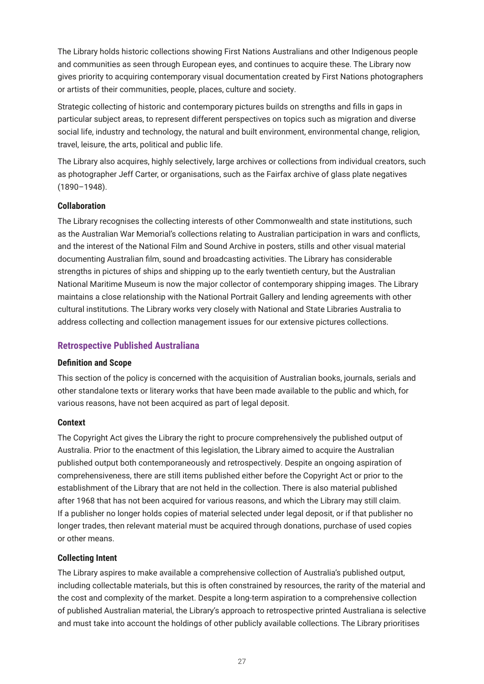<span id="page-29-0"></span>The Library holds historic collections showing First Nations Australians and other Indigenous people and communities as seen through European eyes, and continues to acquire these. The Library now gives priority to acquiring contemporary visual documentation created by First Nations photographers or artists of their communities, people, places, culture and society.

Strategic collecting of historic and contemporary pictures builds on strengths and fills in gaps in particular subject areas, to represent different perspectives on topics such as migration and diverse social life, industry and technology, the natural and built environment, environmental change, religion, travel, leisure, the arts, political and public life.

The Library also acquires, highly selectively, large archives or collections from individual creators, such as photographer Jeff Carter, or organisations, such as the Fairfax archive of glass plate negatives (1890–1948).

### **Collaboration**

The Library recognises the collecting interests of other Commonwealth and state institutions, such as the Australian War Memorial's collections relating to Australian participation in wars and conflicts, and the interest of the National Film and Sound Archive in posters, stills and other visual material documenting Australian film, sound and broadcasting activities. The Library has considerable strengths in pictures of ships and shipping up to the early twentieth century, but the Australian National Maritime Museum is now the major collector of contemporary shipping images. The Library maintains a close relationship with the National Portrait Gallery and lending agreements with other cultural institutions. The Library works very closely with National and State Libraries Australia to address collecting and collection management issues for our extensive pictures collections.

### **Retrospective Published Australiana**

#### **Definition and Scope**

This section of the policy is concerned with the acquisition of Australian books, journals, serials and other standalone texts or literary works that have been made available to the public and which, for various reasons, have not been acquired as part of legal deposit.

#### **Context**

The Copyright Act gives the Library the right to procure comprehensively the published output of Australia. Prior to the enactment of this legislation, the Library aimed to acquire the Australian published output both contemporaneously and retrospectively. Despite an ongoing aspiration of comprehensiveness, there are still items published either before the Copyright Act or prior to the establishment of the Library that are not held in the collection. There is also material published after 1968 that has not been acquired for various reasons, and which the Library may still claim. If a publisher no longer holds copies of material selected under legal deposit, or if that publisher no longer trades, then relevant material must be acquired through donations, purchase of used copies or other means.

### **Collecting Intent**

The Library aspires to make available a comprehensive collection of Australia's published output, including collectable materials, but this is often constrained by resources, the rarity of the material and the cost and complexity of the market. Despite a long-term aspiration to a comprehensive collection of published Australian material, the Library's approach to retrospective printed Australiana is selective and must take into account the holdings of other publicly available collections. The Library prioritises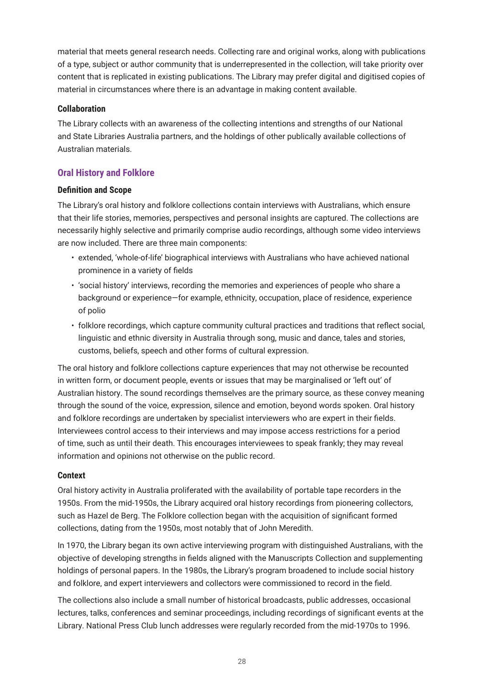<span id="page-30-0"></span>material that meets general research needs. Collecting rare and original works, along with publications of a type, subject or author community that is underrepresented in the collection, will take priority over content that is replicated in existing publications. The Library may prefer digital and digitised copies of material in circumstances where there is an advantage in making content available.

### **Collaboration**

The Library collects with an awareness of the collecting intentions and strengths of our National and State Libraries Australia partners, and the holdings of other publically available collections of Australian materials.

### **Oral History and Folklore**

### **Definition and Scope**

The Library's oral history and folklore collections contain interviews with Australians, which ensure that their life stories, memories, perspectives and personal insights are captured. The collections are necessarily highly selective and primarily comprise audio recordings, although some video interviews are now included. There are three main components:

- extended, 'whole-of-life' biographical interviews with Australians who have achieved national prominence in a variety of fields
- 'social history' interviews, recording the memories and experiences of people who share a background or experience—for example, ethnicity, occupation, place of residence, experience of polio
- folklore recordings, which capture community cultural practices and traditions that reflect social, linguistic and ethnic diversity in Australia through song, music and dance, tales and stories, customs, beliefs, speech and other forms of cultural expression.

The oral history and folklore collections capture experiences that may not otherwise be recounted in written form, or document people, events or issues that may be marginalised or 'left out' of Australian history. The sound recordings themselves are the primary source, as these convey meaning through the sound of the voice, expression, silence and emotion, beyond words spoken. Oral history and folklore recordings are undertaken by specialist interviewers who are expert in their fields. Interviewees control access to their interviews and may impose access restrictions for a period of time, such as until their death. This encourages interviewees to speak frankly; they may reveal information and opinions not otherwise on the public record.

### **Context**

Oral history activity in Australia proliferated with the availability of portable tape recorders in the 1950s. From the mid-1950s, the Library acquired oral history recordings from pioneering collectors, such as Hazel de Berg. The Folklore collection began with the acquisition of significant formed collections, dating from the 1950s, most notably that of John Meredith.

In 1970, the Library began its own active interviewing program with distinguished Australians, with the objective of developing strengths in fields aligned with the Manuscripts Collection and supplementing holdings of personal papers. In the 1980s, the Library's program broadened to include social history and folklore, and expert interviewers and collectors were commissioned to record in the field.

The collections also include a small number of historical broadcasts, public addresses, occasional lectures, talks, conferences and seminar proceedings, including recordings of significant events at the Library. National Press Club lunch addresses were regularly recorded from the mid-1970s to 1996.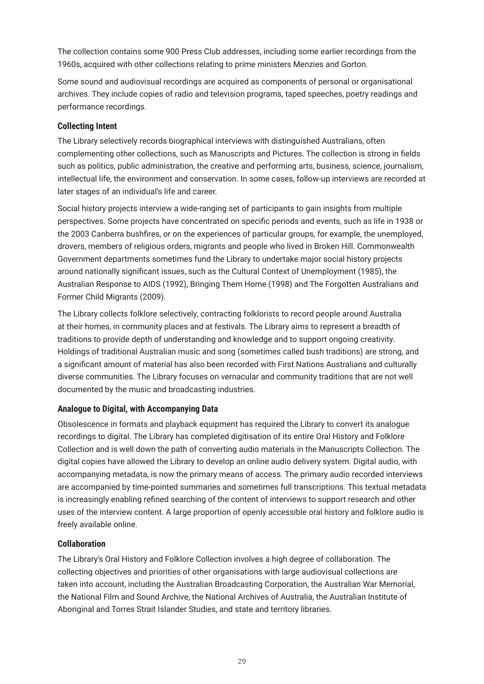<span id="page-31-0"></span>The collection contains some 900 Press Club addresses, including some earlier recordings from the 1960s, acquired with other collections relating to prime ministers Menzies and Gorton.

Some sound and audiovisual recordings are acquired as components of personal or organisational archives. They include copies of radio and television programs, taped speeches, poetry readings and performance recordings.

### **Collecting Intent**

The Library selectively records biographical interviews with distinguished Australians, often complementing other collections, such as Manuscripts and Pictures. The collection is strong in fields such as politics, public administration, the creative and performing arts, business, science, journalism, intellectual life, the environment and conservation. In some cases, follow-up interviews are recorded at later stages of an individual's life and career.

Social history projects interview a wide-ranging set of participants to gain insights from multiple perspectives. Some projects have concentrated on specific periods and events, such as life in 1938 or the 2003 Canberra bushfires, or on the experiences of particular groups, for example, the unemployed, drovers, members of religious orders, migrants and people who lived in Broken Hill. Commonwealth Government departments sometimes fund the Library to undertake major social history projects around nationally significant issues, such as the Cultural Context of Unemployment (1985), the Australian Response to AIDS (1992), Bringing Them Home (1998) and The Forgotten Australians and Former Child Migrants (2009).

The Library collects folklore selectively, contracting folklorists to record people around Australia at their homes, in community places and at festivals. The Library aims to represent a breadth of traditions to provide depth of understanding and knowledge and to support ongoing creativity. Holdings of traditional Australian music and song (sometimes called bush traditions) are strong, and a significant amount of material has also been recorded with First Nations Australians and culturally diverse communities. The Library focuses on vernacular and community traditions that are not well documented by the music and broadcasting industries.

### **Analogue to Digital, with Accompanying Data**

Obsolescence in formats and playback equipment has required the Library to convert its analogue recordings to digital. The Library has completed digitisation of its entire Oral History and Folklore Collection and is well down the path of converting audio materials in the Manuscripts Collection. The digital copies have allowed the Library to develop an online audio delivery system. Digital audio, with accompanying metadata, is now the primary means of access. The primary audio recorded interviews are accompanied by time-pointed summaries and sometimes full transcriptions. This textual metadata is increasingly enabling refined searching of the content of interviews to support research and other uses of the interview content. A large proportion of openly accessible oral history and folklore audio is freely available online.

### **Collaboration**

The Library's Oral History and Folklore Collection involves a high degree of collaboration. The collecting objectives and priorities of other organisations with large audiovisual collections are taken into account, including the Australian Broadcasting Corporation, the Australian War Memorial, the National Film and Sound Archive, the National Archives of Australia, the Australian Institute of Aboriginal and Torres Strait Islander Studies, and state and territory libraries.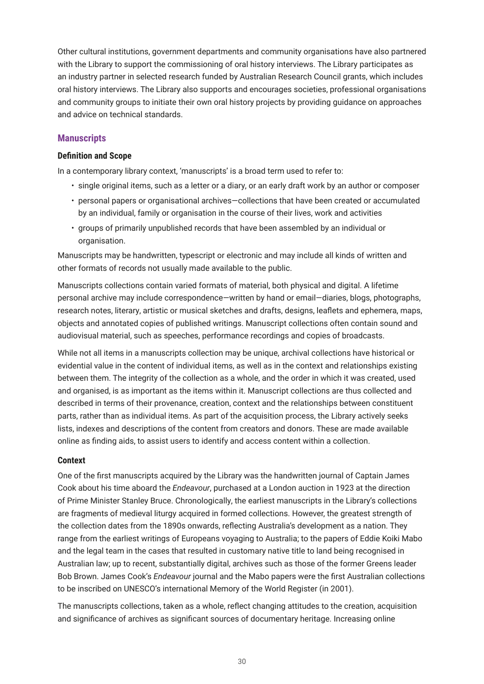<span id="page-32-0"></span>Other cultural institutions, government departments and community organisations have also partnered with the Library to support the commissioning of oral history interviews. The Library participates as an industry partner in selected research funded by Australian Research Council grants, which includes oral history interviews. The Library also supports and encourages societies, professional organisations and community groups to initiate their own oral history projects by providing guidance on approaches and advice on technical standards.

### **Manuscripts**

### **Definition and Scope**

In a contemporary library context, 'manuscripts' is a broad term used to refer to:

- single original items, such as a letter or a diary, or an early draft work by an author or composer
- personal papers or organisational archives—collections that have been created or accumulated by an individual, family or organisation in the course of their lives, work and activities
- groups of primarily unpublished records that have been assembled by an individual or organisation.

Manuscripts may be handwritten, typescript or electronic and may include all kinds of written and other formats of records not usually made available to the public.

Manuscripts collections contain varied formats of material, both physical and digital. A lifetime personal archive may include correspondence—written by hand or email—diaries, blogs, photographs, research notes, literary, artistic or musical sketches and drafts, designs, leaflets and ephemera, maps, objects and annotated copies of published writings. Manuscript collections often contain sound and audiovisual material, such as speeches, performance recordings and copies of broadcasts.

While not all items in a manuscripts collection may be unique, archival collections have historical or evidential value in the content of individual items, as well as in the context and relationships existing between them. The integrity of the collection as a whole, and the order in which it was created, used and organised, is as important as the items within it. Manuscript collections are thus collected and described in terms of their provenance, creation, context and the relationships between constituent parts, rather than as individual items. As part of the acquisition process, the Library actively seeks lists, indexes and descriptions of the content from creators and donors. These are made available online as finding aids, to assist users to identify and access content within a collection.

### **Context**

One of the first manuscripts acquired by the Library was the handwritten journal of Captain James Cook about his time aboard the *Endeavour*, purchased at a London auction in 1923 at the direction of Prime Minister Stanley Bruce. Chronologically, the earliest manuscripts in the Library's collections are fragments of medieval liturgy acquired in formed collections. However, the greatest strength of the collection dates from the 1890s onwards, reflecting Australia's development as a nation. They range from the earliest writings of Europeans voyaging to Australia; to the papers of Eddie Koiki Mabo and the legal team in the cases that resulted in customary native title to land being recognised in Australian law; up to recent, substantially digital, archives such as those of the former Greens leader Bob Brown. James Cook's *Endeavour* journal and the Mabo papers were the first Australian collections to be inscribed on UNESCO's international Memory of the World Register (in 2001).

The manuscripts collections, taken as a whole, reflect changing attitudes to the creation, acquisition and significance of archives as significant sources of documentary heritage. Increasing online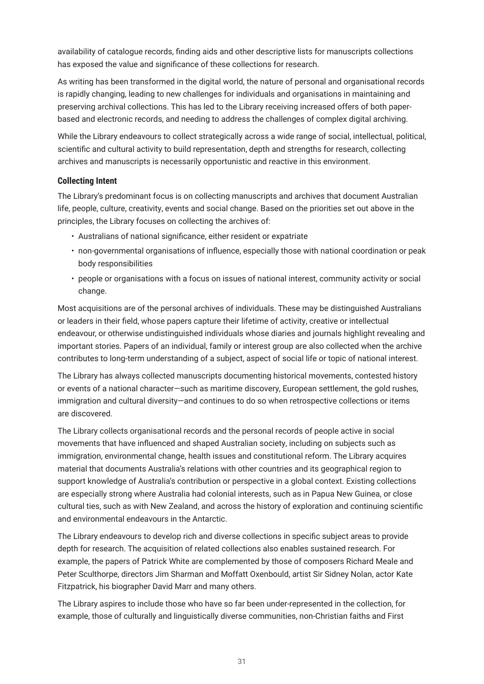<span id="page-33-0"></span>availability of catalogue records, finding aids and other descriptive lists for manuscripts collections has exposed the value and significance of these collections for research.

As writing has been transformed in the digital world, the nature of personal and organisational records is rapidly changing, leading to new challenges for individuals and organisations in maintaining and preserving archival collections. This has led to the Library receiving increased offers of both paperbased and electronic records, and needing to address the challenges of complex digital archiving.

While the Library endeavours to collect strategically across a wide range of social, intellectual, political, scientific and cultural activity to build representation, depth and strengths for research, collecting archives and manuscripts is necessarily opportunistic and reactive in this environment.

### **Collecting Intent**

The Library's predominant focus is on collecting manuscripts and archives that document Australian life, people, culture, creativity, events and social change. Based on the priorities set out above in the principles, the Library focuses on collecting the archives of:

- Australians of national significance, either resident or expatriate
- non-governmental organisations of influence, especially those with national coordination or peak body responsibilities
- people or organisations with a focus on issues of national interest, community activity or social change.

Most acquisitions are of the personal archives of individuals. These may be distinguished Australians or leaders in their field, whose papers capture their lifetime of activity, creative or intellectual endeavour, or otherwise undistinguished individuals whose diaries and journals highlight revealing and important stories. Papers of an individual, family or interest group are also collected when the archive contributes to long-term understanding of a subject, aspect of social life or topic of national interest.

The Library has always collected manuscripts documenting historical movements, contested history or events of a national character—such as maritime discovery, European settlement, the gold rushes, immigration and cultural diversity—and continues to do so when retrospective collections or items are discovered.

The Library collects organisational records and the personal records of people active in social movements that have influenced and shaped Australian society, including on subjects such as immigration, environmental change, health issues and constitutional reform. The Library acquires material that documents Australia's relations with other countries and its geographical region to support knowledge of Australia's contribution or perspective in a global context. Existing collections are especially strong where Australia had colonial interests, such as in Papua New Guinea, or close cultural ties, such as with New Zealand, and across the history of exploration and continuing scientific and environmental endeavours in the Antarctic.

The Library endeavours to develop rich and diverse collections in specific subject areas to provide depth for research. The acquisition of related collections also enables sustained research. For example, the papers of Patrick White are complemented by those of composers Richard Meale and Peter Sculthorpe, directors Jim Sharman and Moffatt Oxenbould, artist Sir Sidney Nolan, actor Kate Fitzpatrick, his biographer David Marr and many others.

The Library aspires to include those who have so far been under-represented in the collection, for example, those of culturally and linguistically diverse communities, non-Christian faiths and First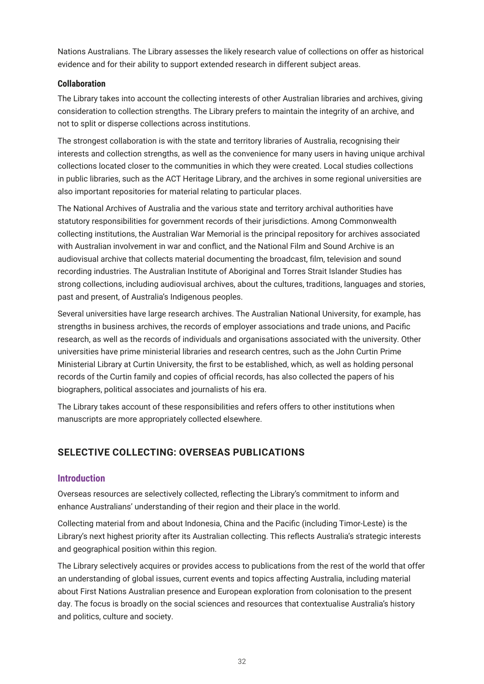<span id="page-34-0"></span>Nations Australians. The Library assesses the likely research value of collections on offer as historical evidence and for their ability to support extended research in different subject areas.

### **Collaboration**

The Library takes into account the collecting interests of other Australian libraries and archives, giving consideration to collection strengths. The Library prefers to maintain the integrity of an archive, and not to split or disperse collections across institutions.

The strongest collaboration is with the state and territory libraries of Australia, recognising their interests and collection strengths, as well as the convenience for many users in having unique archival collections located closer to the communities in which they were created. Local studies collections in public libraries, such as the ACT Heritage Library, and the archives in some regional universities are also important repositories for material relating to particular places.

The National Archives of Australia and the various state and territory archival authorities have statutory responsibilities for government records of their jurisdictions. Among Commonwealth collecting institutions, the Australian War Memorial is the principal repository for archives associated with Australian involvement in war and conflict, and the National Film and Sound Archive is an audiovisual archive that collects material documenting the broadcast, film, television and sound recording industries. The Australian Institute of Aboriginal and Torres Strait Islander Studies has strong collections, including audiovisual archives, about the cultures, traditions, languages and stories, past and present, of Australia's Indigenous peoples.

Several universities have large research archives. The Australian National University, for example, has strengths in business archives, the records of employer associations and trade unions, and Pacific research, as well as the records of individuals and organisations associated with the university. Other universities have prime ministerial libraries and research centres, such as the John Curtin Prime Ministerial Library at Curtin University, the first to be established, which, as well as holding personal records of the Curtin family and copies of official records, has also collected the papers of his biographers, political associates and journalists of his era.

The Library takes account of these responsibilities and refers offers to other institutions when manuscripts are more appropriately collected elsewhere.

# **SELECTIVE COLLECTING: OVERSEAS PUBLICATIONS**

### **Introduction**

Overseas resources are selectively collected, reflecting the Library's commitment to inform and enhance Australians' understanding of their region and their place in the world.

Collecting material from and about Indonesia, China and the Pacific (including Timor-Leste) is the Library's next highest priority after its Australian collecting. This reflects Australia's strategic interests and geographical position within this region.

The Library selectively acquires or provides access to publications from the rest of the world that offer an understanding of global issues, current events and topics affecting Australia, including material about First Nations Australian presence and European exploration from colonisation to the present day. The focus is broadly on the social sciences and resources that contextualise Australia's history and politics, culture and society.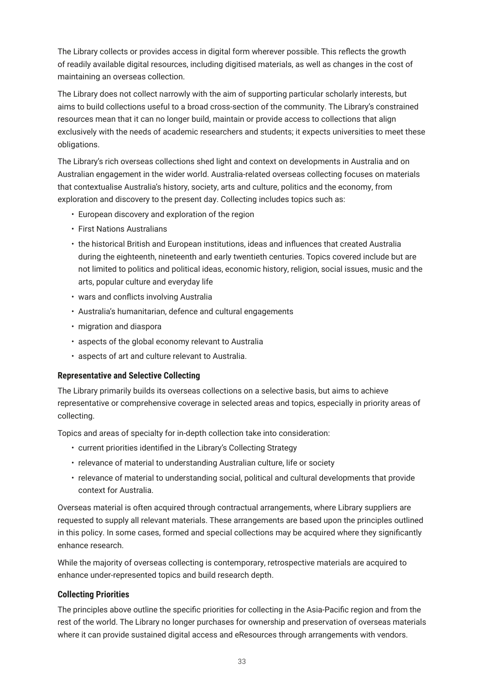<span id="page-35-0"></span>The Library collects or provides access in digital form wherever possible. This reflects the growth of readily available digital resources, including digitised materials, as well as changes in the cost of maintaining an overseas collection.

The Library does not collect narrowly with the aim of supporting particular scholarly interests, but aims to build collections useful to a broad cross-section of the community. The Library's constrained resources mean that it can no longer build, maintain or provide access to collections that align exclusively with the needs of academic researchers and students; it expects universities to meet these obligations.

The Library's rich overseas collections shed light and context on developments in Australia and on Australian engagement in the wider world. Australia-related overseas collecting focuses on materials that contextualise Australia's history, society, arts and culture, politics and the economy, from exploration and discovery to the present day. Collecting includes topics such as:

- European discovery and exploration of the region
- First Nations Australians
- the historical British and European institutions, ideas and influences that created Australia during the eighteenth, nineteenth and early twentieth centuries. Topics covered include but are not limited to politics and political ideas, economic history, religion, social issues, music and the arts, popular culture and everyday life
- wars and conflicts involving Australia
- Australia's humanitarian, defence and cultural engagements
- migration and diaspora
- aspects of the global economy relevant to Australia
- aspects of art and culture relevant to Australia.

### **Representative and Selective Collecting**

The Library primarily builds its overseas collections on a selective basis, but aims to achieve representative or comprehensive coverage in selected areas and topics, especially in priority areas of collecting.

Topics and areas of specialty for in-depth collection take into consideration:

- current priorities identified in the Library's Collecting Strategy
- relevance of material to understanding Australian culture, life or society
- relevance of material to understanding social, political and cultural developments that provide context for Australia.

Overseas material is often acquired through contractual arrangements, where Library suppliers are requested to supply all relevant materials. These arrangements are based upon the principles outlined in this policy. In some cases, formed and special collections may be acquired where they significantly enhance research.

While the majority of overseas collecting is contemporary, retrospective materials are acquired to enhance under-represented topics and build research depth.

### **Collecting Priorities**

The principles above outline the specific priorities for collecting in the Asia-Pacific region and from the rest of the world. The Library no longer purchases for ownership and preservation of overseas materials where it can provide sustained digital access and eResources through arrangements with vendors.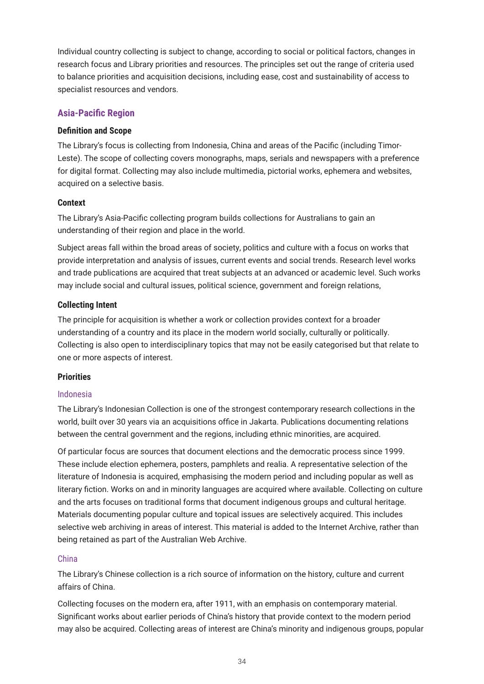<span id="page-36-0"></span>Individual country collecting is subject to change, according to social or political factors, changes in research focus and Library priorities and resources. The principles set out the range of criteria used to balance priorities and acquisition decisions, including ease, cost and sustainability of access to specialist resources and vendors.

### **Asia-Pacific Region**

#### **Definition and Scope**

The Library's focus is collecting from Indonesia, China and areas of the Pacific (including Timor-Leste). The scope of collecting covers monographs, maps, serials and newspapers with a preference for digital format. Collecting may also include multimedia, pictorial works, ephemera and websites, acquired on a selective basis.

#### **Context**

The Library's Asia-Pacific collecting program builds collections for Australians to gain an understanding of their region and place in the world.

Subject areas fall within the broad areas of society, politics and culture with a focus on works that provide interpretation and analysis of issues, current events and social trends. Research level works and trade publications are acquired that treat subjects at an advanced or academic level. Such works may include social and cultural issues, political science, government and foreign relations,

#### **Collecting Intent**

The principle for acquisition is whether a work or collection provides context for a broader understanding of a country and its place in the modern world socially, culturally or politically. Collecting is also open to interdisciplinary topics that may not be easily categorised but that relate to one or more aspects of interest.

### **Priorities**

#### Indonesia

The Library's Indonesian Collection is one of the strongest contemporary research collections in the world, built over 30 years via an acquisitions office in Jakarta. Publications documenting relations between the central government and the regions, including ethnic minorities, are acquired.

Of particular focus are sources that document elections and the democratic process since 1999. These include election ephemera, posters, pamphlets and realia. A representative selection of the literature of Indonesia is acquired, emphasising the modern period and including popular as well as literary fiction. Works on and in minority languages are acquired where available. Collecting on culture and the arts focuses on traditional forms that document indigenous groups and cultural heritage. Materials documenting popular culture and topical issues are selectively acquired. This includes selective web archiving in areas of interest. This material is added to the Internet Archive, rather than being retained as part of the Australian Web Archive.

### China

The Library's Chinese collection is a rich source of information on the history, culture and current affairs of China.

Collecting focuses on the modern era, after 1911, with an emphasis on contemporary material. Significant works about earlier periods of China's history that provide context to the modern period may also be acquired. Collecting areas of interest are China's minority and indigenous groups, popular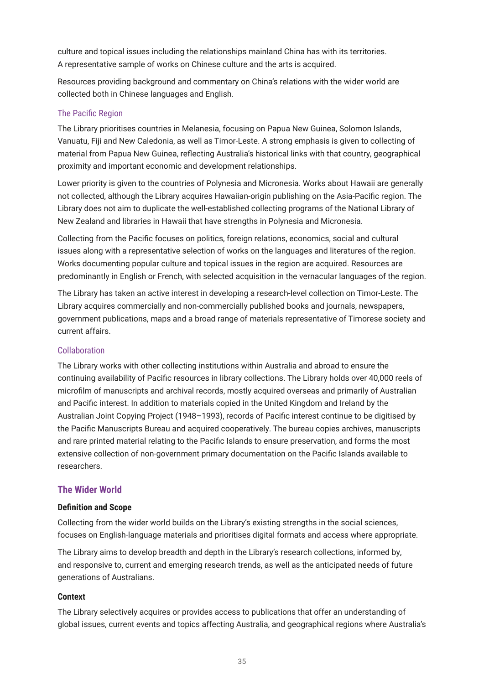<span id="page-37-0"></span>culture and topical issues including the relationships mainland China has with its territories. A representative sample of works on Chinese culture and the arts is acquired.

Resources providing background and commentary on China's relations with the wider world are collected both in Chinese languages and English.

### The Pacific Region

The Library prioritises countries in Melanesia, focusing on Papua New Guinea, Solomon Islands, Vanuatu, Fiji and New Caledonia, as well as Timor-Leste. A strong emphasis is given to collecting of material from Papua New Guinea, reflecting Australia's historical links with that country, geographical proximity and important economic and development relationships.

Lower priority is given to the countries of Polynesia and Micronesia. Works about Hawaii are generally not collected, although the Library acquires Hawaiian-origin publishing on the Asia-Pacific region. The Library does not aim to duplicate the well-established collecting programs of the National Library of New Zealand and libraries in Hawaii that have strengths in Polynesia and Micronesia.

Collecting from the Pacific focuses on politics, foreign relations, economics, social and cultural issues along with a representative selection of works on the languages and literatures of the region. Works documenting popular culture and topical issues in the region are acquired. Resources are predominantly in English or French, with selected acquisition in the vernacular languages of the region.

The Library has taken an active interest in developing a research-level collection on Timor-Leste. The Library acquires commercially and non-commercially published books and journals, newspapers, government publications, maps and a broad range of materials representative of Timorese society and current affairs.

### Collaboration

The Library works with other collecting institutions within Australia and abroad to ensure the continuing availability of Pacific resources in library collections. The Library holds over 40,000 reels of microfilm of manuscripts and archival records, mostly acquired overseas and primarily of Australian and Pacific interest. In addition to materials copied in the United Kingdom and Ireland by the Australian Joint Copying Project (1948–1993), records of Pacific interest continue to be digitised by the Pacific Manuscripts Bureau and acquired cooperatively. The bureau copies archives, manuscripts and rare printed material relating to the Pacific Islands to ensure preservation, and forms the most extensive collection of non-government primary documentation on the Pacific Islands available to researchers.

### **The Wider World**

#### **Definition and Scope**

Collecting from the wider world builds on the Library's existing strengths in the social sciences, focuses on English-language materials and prioritises digital formats and access where appropriate.

The Library aims to develop breadth and depth in the Library's research collections, informed by, and responsive to, current and emerging research trends, as well as the anticipated needs of future generations of Australians.

### **Context**

The Library selectively acquires or provides access to publications that offer an understanding of global issues, current events and topics affecting Australia, and geographical regions where Australia's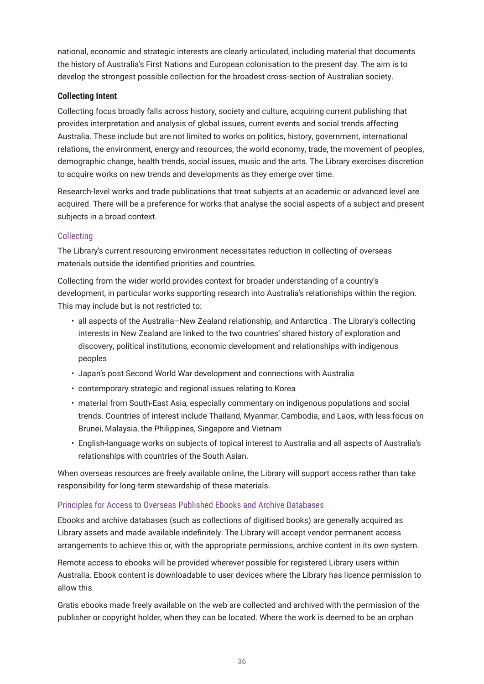<span id="page-38-0"></span>national, economic and strategic interests are clearly articulated, including material that documents the history of Australia's First Nations and European colonisation to the present day. The aim is to develop the strongest possible collection for the broadest cross-section of Australian society.

### **Collecting Intent**

Collecting focus broadly falls across history, society and culture, acquiring current publishing that provides interpretation and analysis of global issues, current events and social trends affecting Australia. These include but are not limited to works on politics, history, government, international relations, the environment, energy and resources, the world economy, trade, the movement of peoples, demographic change, health trends, social issues, music and the arts. The Library exercises discretion to acquire works on new trends and developments as they emerge over time.

Research-level works and trade publications that treat subjects at an academic or advanced level are acquired. There will be a preference for works that analyse the social aspects of a subject and present subjects in a broad context.

### **Collecting**

The Library's current resourcing environment necessitates reduction in collecting of overseas materials outside the identified priorities and countries.

Collecting from the wider world provides context for broader understanding of a country's development, in particular works supporting research into Australia's relationships within the region. This may include but is not restricted to:

- all aspects of the Australia–New Zealand relationship, and Antarctica . The Library's collecting interests in New Zealand are linked to the two countries' shared history of exploration and discovery, political institutions, economic development and relationships with indigenous peoples
- Japan's post Second World War development and connections with Australia
- contemporary strategic and regional issues relating to Korea
- material from South-East Asia, especially commentary on indigenous populations and social trends. Countries of interest include Thailand, Myanmar, Cambodia, and Laos, with less focus on Brunei, Malaysia, the Philippines, Singapore and Vietnam
- English-language works on subjects of topical interest to Australia and all aspects of Australia's relationships with countries of the South Asian.

When overseas resources are freely available online, the Library will support access rather than take responsibility for long-term stewardship of these materials.

### Principles for Access to Overseas Published Ebooks and Archive Databases

Ebooks and archive databases (such as collections of digitised books) are generally acquired as Library assets and made available indefinitely. The Library will accept vendor permanent access arrangements to achieve this or, with the appropriate permissions, archive content in its own system.

Remote access to ebooks will be provided wherever possible for registered Library users within Australia. Ebook content is downloadable to user devices where the Library has licence permission to allow this.

Gratis ebooks made freely available on the web are collected and archived with the permission of the publisher or copyright holder, when they can be located. Where the work is deemed to be an orphan